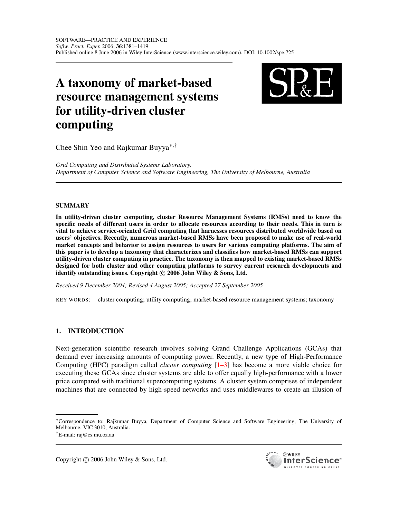# **A taxonomy of market-based resource management systems for utility-driven cluster computing**



Chee Shin Yeo and Rajkumar Buyya∗,†

*Grid Computing and Distributed Systems Laboratory, Department of Computer Science and Software Engineering, The University of Melbourne, Australia*

## **SUMMARY**

**In utility-driven cluster computing, cluster Resource Management Systems (RMSs) need to know the specific needs of different users in order to allocate resources according to their needs. This in turn is vital to achieve service-oriented Grid computing that harnesses resources distributed worldwide based on users' objectives. Recently, numerous market-based RMSs have been proposed to make use of real-world market concepts and behavior to assign resources to users for various computing platforms. The aim of this paper is to develop a taxonomy that characterizes and classifies how market-based RMSs can support utility-driven cluster computing in practice. The taxonomy is then mapped to existing market-based RMSs designed for both cluster and other computing platforms to survey current research developments and** identify outstanding issues. Copyright © 2006 John Wiley & Sons, Ltd.

*Received 9 December 2004; Revised 4 August 2005; Accepted 27 September 2005*

KEY WORDS: cluster computing; utility computing; market-based resource management systems; taxonomy

## **1. INTRODUCTION**

Next-generation scientific research involves solving Grand Challenge Applications (GCAs) that demand ever increasing amounts of computing power. Recently, a new type of High-Performance Computing (HPC) paradigm called *cluster computing* [\[1–3\]](#page-35-0) has become a more viable choice for executing these GCAs since cluster systems are able to offer equally high-performance with a lower price compared with traditional supercomputing systems. A cluster system comprises of independent machines that are connected by high-speed networks and uses middlewares to create an illusion of

Copyright © 2006 John Wiley & Sons, Ltd.



<sup>∗</sup>Correspondence to: Rajkumar Buyya, Department of Computer Science and Software Engineering, The University of Melbourne, VIC 3010, Australia.

<sup>†</sup>E-mail: raj@cs.mu.oz.au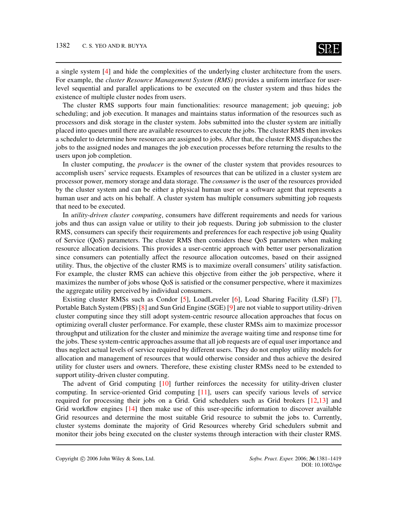a single system [\[4](#page-35-10)] and hide the complexities of the underlying cluster architecture from the users. For example, the *cluster Resource Management System (RMS)* provides a uniform interface for userlevel sequential and parallel applications to be executed on the cluster system and thus hides the existence of multiple cluster nodes from users.

The cluster RMS supports four main functionalities: resource management; job queuing; job scheduling; and job execution. It manages and maintains status information of the resources such as processors and disk storage in the cluster system. Jobs submitted into the cluster system are initially placed into queues until there are available resources to execute the jobs. The cluster RMS then invokes a scheduler to determine how resources are assigned to jobs. After that, the cluster RMS dispatches the jobs to the assigned nodes and manages the job execution processes before returning the results to the users upon job completion.

In cluster computing, the *producer* is the owner of the cluster system that provides resources to accomplish users' service requests. Examples of resources that can be utilized in a cluster system are processor power, memory storage and data storage. The *consumer* is the user of the resources provided by the cluster system and can be either a physical human user or a software agent that represents a human user and acts on his behalf. A cluster system has multiple consumers submitting job requests that need to be executed.

In *utility-driven cluster computing*, consumers have different requirements and needs for various jobs and thus can assign value or utility to their job requests. During job submission to the cluster RMS, consumers can specify their requirements and preferences for each respective job using Quality of Service (QoS) parameters. The cluster RMS then considers these QoS parameters when making resource allocation decisions. This provides a user-centric approach with better user personalization since consumers can potentially affect the resource allocation outcomes, based on their assigned utility. Thus, the objective of the cluster RMS is to maximize overall consumers' utility satisfaction. For example, the cluster RMS can achieve this objective from either the job perspective, where it maximizes the number of jobs whose QoS is satisfied or the consumer perspective, where it maximizes the aggregate utility perceived by individual consumers.

Existing cluster RMSs such as Condor [\[5](#page-35-1)], LoadLeveler [\[6\]](#page-35-9), Load Sharing Facility (LSF) [\[7\]](#page-35-6), Portable Batch System (PBS) [[8\]](#page-35-11) and Sun Grid Engine (SGE) [\[9\]](#page-35-8) are not viable to support utility-driven cluster computing since they still adopt system-centric resource allocation approaches that focus on optimizing overall cluster performance. For example, these cluster RMSs aim to maximize processor throughput and utilization for the cluster and minimize the average waiting time and response time for the jobs. These system-centric approaches assume that all job requests are of equal user importance and thus neglect actual levels of service required by different users. They do not employ utility models for allocation and management of resources that would otherwise consider and thus achieve the desired utility for cluster users and owners. Therefore, these existing cluster RMSs need to be extended to support utility-driven cluster computing.

The advent of Grid computing [[10\]](#page-35-3) further reinforces the necessity for utility-driven cluster computing. In service-oriented Grid computing [\[11](#page-35-7)], users can specify various levels of service required for processing their jobs on a Grid. Grid schedulers such as Grid brokers [\[12](#page-35-4)[,13\]](#page-35-2) and Grid workflow engines [[14\]](#page-35-5) then make use of this user-specific information to discover available Grid resources and determine the most suitable Grid resource to submit the jobs to. Currently, cluster systems dominate the majority of Grid Resources whereby Grid schedulers submit and monitor their jobs being executed on the cluster systems through interaction with their cluster RMS.

Copyright  $\odot$  2006 John Wiley & Sons, Ltd.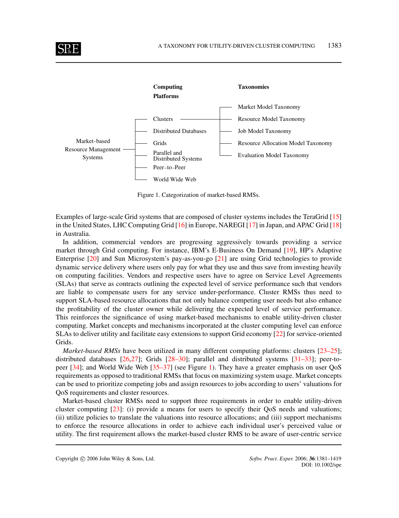<span id="page-2-0"></span>

Figure 1. Categorization of market-based RMSs.

Examples of large-scale Grid systems that are composed of cluster systems includes the TeraGrid [\[15\]](#page-35-22) in the United States, LHC Computing Grid [[16\]](#page-35-15) in Europe, NAREGI [\[17](#page-35-23)] in Japan, and APAC Grid [\[18\]](#page-35-20) in Australia.

In addition, commercial vendors are progressing aggressively towards providing a service market through Grid computing. For instance, IBM's E-Business On Demand [\[19](#page-35-21)], HP's Adaptive Enterprise [\[20\]](#page-35-12) and Sun Microsystem's pay-as-you-go [\[21](#page-35-14)] are using Grid technologies to provide dynamic service delivery where users only pay for what they use and thus save from investing heavily on computing facilities. Vendors and respective users have to agree on Service Level Agreements (SLAs) that serve as contracts outlining the expected level of service performance such that vendors are liable to compensate users for any service under-performance. Cluster RMSs thus need to support SLA-based resource allocations that not only balance competing user needs but also enhance the profitability of the cluster owner while delivering the expected level of service performance. This reinforces the significance of using market-based mechanisms to enable utility-driven cluster computing. Market concepts and mechanisms incorporated at the cluster computing level can enforce SLAs to deliver utility and facilitate easy extensions to support Grid economy [\[22](#page-35-17)] for service-oriented Grids.

*Market-based RMSs* have been utilized in many different computing platforms: clusters [[23–25](#page-35-16)]; distributed databases [\[26](#page-35-18)[,27\]](#page-35-19); Grids [[28–30\]](#page-35-13); parallel and distributed systems [\[31–33\]](#page-36-2); peer-topeer [\[34](#page-36-1)]; and World Wide Web [[35–37](#page-36-0)] (see Figure [1\)](#page-2-0). They have a greater emphasis on user QoS requirements as opposed to traditional RMSs that focus on maximizing system usage. Market concepts can be used to prioritize competing jobs and assign resources to jobs according to users' valuations for QoS requirements and cluster resources.

Market-based cluster RMSs need to support three requirements in order to enable utility-driven cluster computing [\[23](#page-35-16)]: (i) provide a means for users to specify their QoS needs and valuations; (ii) utilize policies to translate the valuations into resource allocations; and (iii) support mechanisms to enforce the resource allocations in order to achieve each individual user's perceived value or utility. The first requirement allows the market-based cluster RMS to be aware of user-centric service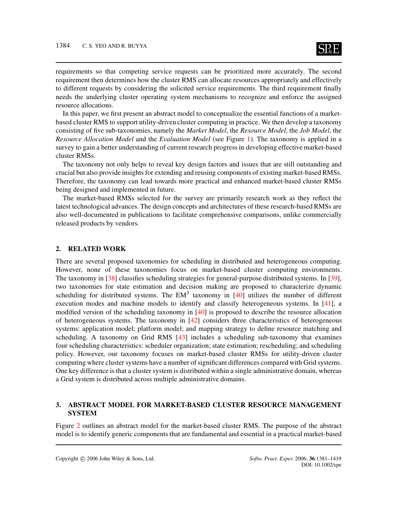requirements so that competing service requests can be prioritized more accurately. The second requirement then determines how the cluster RMS can allocate resources appropriately and effectively to different requests by considering the solicited service requirements. The third requirement finally needs the underlying cluster operating system mechanisms to recognize and enforce the assigned resource allocations.

In this paper, we first present an abstract model to conceptualize the essential functions of a marketbased cluster RMS to support utility-driven cluster computing in practice. We then develop a taxonomy consisting of five sub-taxonomies, namely the *Market Model*, the *Resource Model*, the *Job Model*, the *Resource Allocation Model* and the *Evaluation Model* (see Figure [1](#page-2-0)). The taxonomy is applied in a survey to gain a better understanding of current research progress in developing effective market-based cluster RMSs.

The taxonomy not only helps to reveal key design factors and issues that are still outstanding and crucial but also provide insights for extending and reusing components of existing market-based RMSs. Therefore, the taxonomy can lead towards more practical and enhanced market-based cluster RMSs being designed and implemented in future.

The market-based RMSs selected for the survey are primarily research work as they reflect the latest technological advances. The design concepts and architectures of these research-based RMSs are also well-documented in publications to facilitate comprehensive comparisons, unlike commercially released products by vendors.

## **2. RELATED WORK**

There are several proposed taxonomies for scheduling in distributed and heterogeneous computing. However, none of these taxonomies focus on market-based cluster computing environments. The taxonomy in [\[38](#page-36-7)] classifies scheduling strategies for general-purpose distributed systems. In [\[39](#page-36-4)], two taxonomies for state estimation and decision making are proposed to characterize dynamic scheduling for distributed systems. The  $EM<sup>3</sup>$  taxonomy in [[40\]](#page-36-3) utilizes the number of different execution modes and machine models to identify and classify heterogeneous systems. In [\[41](#page-36-5)], a modified version of the scheduling taxonomy in [[40\]](#page-36-3) is proposed to describe the resource allocation of heterogeneous systems. The taxonomy in [\[42](#page-36-8)] considers three characteristics of heterogeneous systems: application model; platform model; and mapping strategy to define resource matching and scheduling. A taxonomy on Grid RMS [\[43\]](#page-36-6) includes a scheduling sub-taxonomy that examines four scheduling characteristics: scheduler organization; state estimation; rescheduling; and scheduling policy. However, our taxonomy focuses on market-based cluster RMSs for utility-driven cluster computing where cluster systems have a number of significant differences compared with Grid systems. One key difference is that a cluster system is distributed within a single administrative domain, whereas a Grid system is distributed across multiple administrative domains.

## **3. ABSTRACT MODEL FOR MARKET-BASED CLUSTER RESOURCE MANAGEMENT SYSTEM**

Figure [2](#page-4-0) outlines an abstract model for the market-based cluster RMS. The purpose of the abstract model is to identify generic components that are fundamental and essential in a practical market-based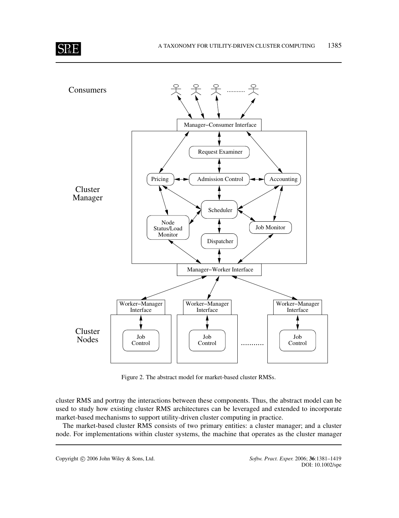<span id="page-4-0"></span>

Figure 2. The abstract model for market-based cluster RMSs.

cluster RMS and portray the interactions between these components. Thus, the abstract model can be used to study how existing cluster RMS architectures can be leveraged and extended to incorporate market-based mechanisms to support utility-driven cluster computing in practice.

The market-based cluster RMS consists of two primary entities: a cluster manager; and a cluster node. For implementations within cluster systems, the machine that operates as the cluster manager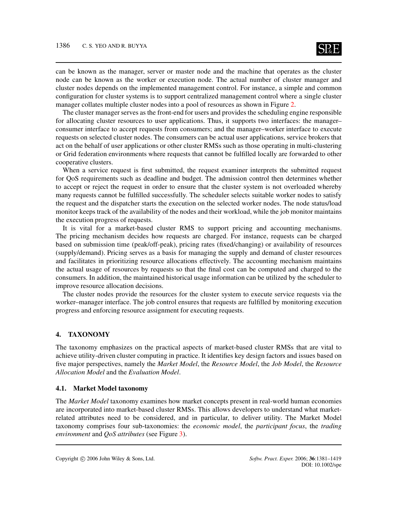can be known as the manager, server or master node and the machine that operates as the cluster node can be known as the worker or execution node. The actual number of cluster manager and cluster nodes depends on the implemented management control. For instance, a simple and common configuration for cluster systems is to support centralized management control where a single cluster manager collates multiple cluster nodes into a pool of resources as shown in Figure [2.](#page-4-0)

The cluster manager serves as the front-end for users and provides the scheduling engine responsible for allocating cluster resources to user applications. Thus, it supports two interfaces: the manager– consumer interface to accept requests from consumers; and the manager–worker interface to execute requests on selected cluster nodes. The consumers can be actual user applications, service brokers that act on the behalf of user applications or other cluster RMSs such as those operating in multi-clustering or Grid federation environments where requests that cannot be fulfilled locally are forwarded to other cooperative clusters.

When a service request is first submitted, the request examiner interprets the submitted request for QoS requirements such as deadline and budget. The admission control then determines whether to accept or reject the request in order to ensure that the cluster system is not overloaded whereby many requests cannot be fulfilled successfully. The scheduler selects suitable worker nodes to satisfy the request and the dispatcher starts the execution on the selected worker nodes. The node status/load monitor keeps track of the availability of the nodes and their workload, while the job monitor maintains the execution progress of requests.

It is vital for a market-based cluster RMS to support pricing and accounting mechanisms. The pricing mechanism decides how requests are charged. For instance, requests can be charged based on submission time (peak/off-peak), pricing rates (fixed/changing) or availability of resources (supply/demand). Pricing serves as a basis for managing the supply and demand of cluster resources and facilitates in prioritizing resource allocations effectively. The accounting mechanism maintains the actual usage of resources by requests so that the final cost can be computed and charged to the consumers. In addition, the maintained historical usage information can be utilized by the scheduler to improve resource allocation decisions.

The cluster nodes provide the resources for the cluster system to execute service requests via the worker–manager interface. The job control ensures that requests are fulfilled by monitoring execution progress and enforcing resource assignment for executing requests.

### **4. TAXONOMY**

The taxonomy emphasizes on the practical aspects of market-based cluster RMSs that are vital to achieve utility-driven cluster computing in practice. It identifies key design factors and issues based on five major perspectives, namely the *Market Model*, the *Resource Model*, the *Job Model*, the *Resource Allocation Model* and the *Evaluation Model*.

#### **4.1. Market Model taxonomy**

The *Market Model* taxonomy examines how market concepts present in real-world human economies are incorporated into market-based cluster RMSs. This allows developers to understand what marketrelated attributes need to be considered, and in particular, to deliver utility. The Market Model taxonomy comprises four sub-taxonomies: the *economic model*, the *participant focus*, the *trading environment* and *QoS attributes* (see Figure [3](#page-6-0)).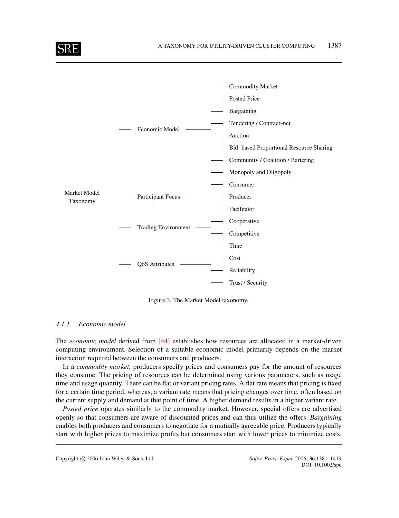<span id="page-6-0"></span>

Figure 3. The Market Model taxonomy.

# *4.1.1. Economic model*

The *economic model* derived from [\[44\]](#page-36-9) establishes how resources are allocated in a market-driven computing environment. Selection of a suitable economic model primarily depends on the market interaction required between the consumers and producers.

In a *commodity market*, producers specify prices and consumers pay for the amount of resources they consume. The pricing of resources can be determined using various parameters, such as usage time and usage quantity. There can be flat or variant pricing rates. A flat rate means that pricing is fixed for a certain time period, whereas, a variant rate means that pricing changes over time, often based on the current supply and demand at that point of time. A higher demand results in a higher variant rate.

*Posted price* operates similarly to the commodity market. However, special offers are advertised openly so that consumers are aware of discounted prices and can thus utilize the offers. *Bargaining* enables both producers and consumers to negotiate for a mutually agreeable price. Producers typically start with higher prices to maximize profits but consumers start with lower prices to minimize costs.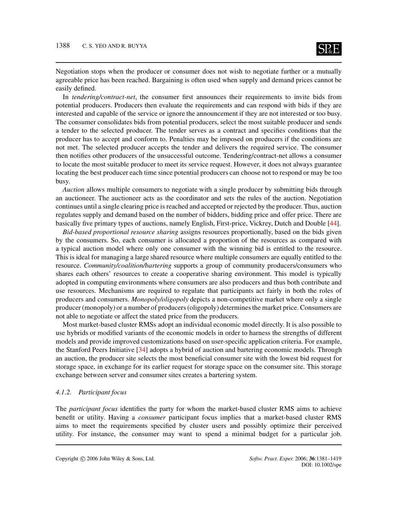Negotiation stops when the producer or consumer does not wish to negotiate further or a mutually agreeable price has been reached. Bargaining is often used when supply and demand prices cannot be easily defined.

In *tendering/contract-net*, the consumer first announces their requirements to invite bids from potential producers. Producers then evaluate the requirements and can respond with bids if they are interested and capable of the service or ignore the announcement if they are not interested or too busy. The consumer consolidates bids from potential producers, select the most suitable producer and sends a tender to the selected producer. The tender serves as a contract and specifies conditions that the producer has to accept and conform to. Penalties may be imposed on producers if the conditions are not met. The selected producer accepts the tender and delivers the required service. The consumer then notifies other producers of the unsuccessful outcome. Tendering/contract-net allows a consumer to locate the most suitable producer to meet its service request. However, it does not always guarantee locating the best producer each time since potential producers can choose not to respond or may be too busy.

*Auction* allows multiple consumers to negotiate with a single producer by submitting bids through an auctioneer. The auctioneer acts as the coordinator and sets the rules of the auction. Negotiation continues until a single clearing price is reached and accepted or rejected by the producer. Thus, auction regulates supply and demand based on the number of bidders, bidding price and offer price. There are basically five primary types of auctions, namely English, First-price, Vickrey, Dutch and Double [\[44](#page-36-9)].

*Bid-based proportional resource sharing* assigns resources proportionally, based on the bids given by the consumers. So, each consumer is allocated a proportion of the resources as compared with a typical auction model where only one consumer with the winning bid is entitled to the resource. This is ideal for managing a large shared resource where multiple consumers are equally entitled to the resource. *Community/coalition/bartering* supports a group of community producers/consumers who shares each others' resources to create a cooperative sharing environment. This model is typically adopted in computing environments where consumers are also producers and thus both contribute and use resources. Mechanisms are required to regulate that participants act fairly in both the roles of producers and consumers. *Monopoly/oligopoly* depicts a non-competitive market where only a single producer (monopoly) or a number of producers (oligopoly) determines the market price. Consumers are not able to negotiate or affect the stated price from the producers.

Most market-based cluster RMSs adopt an individual economic model directly. It is also possible to use hybrids or modified variants of the economic models in order to harness the strengths of different models and provide improved customizations based on user-specific application criteria. For example, the Stanford Peers Initiative [[34\]](#page-36-1) adopts a hybrid of auction and bartering economic models. Through an auction, the producer site selects the most beneficial consumer site with the lowest bid request for storage space, in exchange for its earlier request for storage space on the consumer site. This storage exchange between server and consumer sites creates a bartering system.

## *4.1.2. Participant focus*

The *participant focus* identifies the party for whom the market-based cluster RMS aims to achieve benefit or utility. Having a *consumer* participant focus implies that a market-based cluster RMS aims to meet the requirements specified by cluster users and possibly optimize their perceived utility. For instance, the consumer may want to spend a minimal budget for a particular job.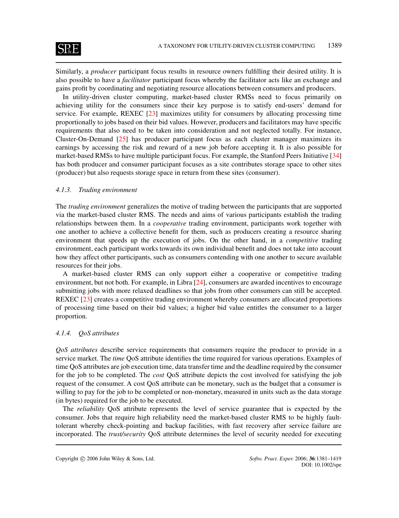Similarly, a *producer* participant focus results in resource owners fulfilling their desired utility. It is also possible to have a *facilitator* participant focus whereby the facilitator acts like an exchange and gains profit by coordinating and negotiating resource allocations between consumers and producers.

In utility-driven cluster computing, market-based cluster RMSs need to focus primarily on achieving utility for the consumers since their key purpose is to satisfy end-users' demand for service. For example, REXEC [\[23](#page-35-16)] maximizes utility for consumers by allocating processing time proportionally to jobs based on their bid values. However, producers and facilitators may have specific requirements that also need to be taken into consideration and not neglected totally. For instance, Cluster-On-Demand [[25\]](#page-35-24) has producer participant focus as each cluster manager maximizes its earnings by accessing the risk and reward of a new job before accepting it. It is also possible for market-based RMSs to have multiple participant focus. For example, the Stanford Peers Initiative [\[34\]](#page-36-1) has both producer and consumer participant focuses as a site contributes storage space to other sites (producer) but also requests storage space in return from these sites (consumer).

## *4.1.3. Trading environment*

The *trading environment* generalizes the motive of trading between the participants that are supported via the market-based cluster RMS. The needs and aims of various participants establish the trading relationships between them. In a *cooperative* trading environment, participants work together with one another to achieve a collective benefit for them, such as producers creating a resource sharing environment that speeds up the execution of jobs. On the other hand, in a *competitive* trading environment, each participant works towards its own individual benefit and does not take into account how they affect other participants, such as consumers contending with one another to secure available resources for their jobs.

A market-based cluster RMS can only support either a cooperative or competitive trading environment, but not both. For example, in Libra [[24\]](#page-35-25), consumers are awarded incentives to encourage submitting jobs with more relaxed deadlines so that jobs from other consumers can still be accepted. REXEC [\[23\]](#page-35-16) creates a competitive trading environment whereby consumers are allocated proportions of processing time based on their bid values; a higher bid value entitles the consumer to a larger proportion.

# *4.1.4. QoS attributes*

*QoS attributes* describe service requirements that consumers require the producer to provide in a service market. The *time* QoS attribute identifies the time required for various operations. Examples of time QoS attributes are job execution time, data transfer time and the deadline required by the consumer for the job to be completed. The *cost* QoS attribute depicts the cost involved for satisfying the job request of the consumer. A cost QoS attribute can be monetary, such as the budget that a consumer is willing to pay for the job to be completed or non-monetary, measured in units such as the data storage (in bytes) required for the job to be executed.

The *reliability* QoS attribute represents the level of service guarantee that is expected by the consumer. Jobs that require high reliability need the market-based cluster RMS to be highly faulttolerant whereby check-pointing and backup facilities, with fast recovery after service failure are incorporated. The *trust/security* QoS attribute determines the level of security needed for executing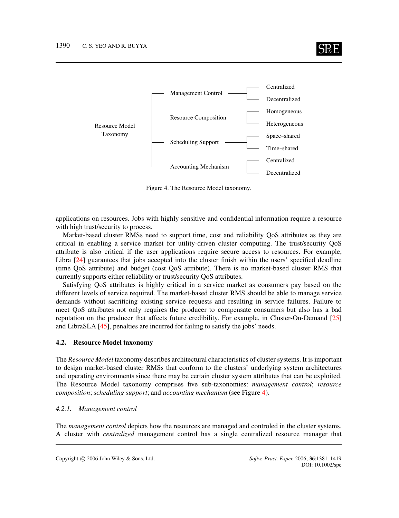<span id="page-9-0"></span>

Figure 4. The Resource Model taxonomy.

applications on resources. Jobs with highly sensitive and confidential information require a resource with high trust/security to process.

Market-based cluster RMSs need to support time, cost and reliability QoS attributes as they are critical in enabling a service market for utility-driven cluster computing. The trust/security QoS attribute is also critical if the user applications require secure access to resources. For example, Libra [[24\]](#page-35-25) guarantees that jobs accepted into the cluster finish within the users' specified deadline (time QoS attribute) and budget (cost QoS attribute). There is no market-based cluster RMS that currently supports either reliability or trust/security QoS attributes.

Satisfying QoS attributes is highly critical in a service market as consumers pay based on the different levels of service required. The market-based cluster RMS should be able to manage service demands without sacrificing existing service requests and resulting in service failures. Failure to meet QoS attributes not only requires the producer to compensate consumers but also has a bad reputation on the producer that affects future credibility. For example, in Cluster-On-Demand [\[25\]](#page-35-24) and LibraSLA [\[45\]](#page-36-10), penalties are incurred for failing to satisfy the jobs' needs.

## **4.2. Resource Model taxonomy**

The *Resource Model* taxonomy describes architectural characteristics of cluster systems. It is important to design market-based cluster RMSs that conform to the clusters' underlying system architectures and operating environments since there may be certain cluster system attributes that can be exploited. The Resource Model taxonomy comprises five sub-taxonomies: *management control*; *resource composition*; *scheduling support*; and *accounting mechanism* (see Figure [4\)](#page-9-0).

#### *4.2.1. Management control*

The *management control* depicts how the resources are managed and controled in the cluster systems. A cluster with *centralized* management control has a single centralized resource manager that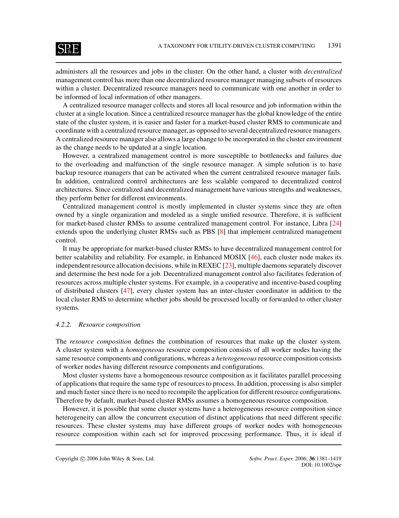

administers all the resources and jobs in the cluster. On the other hand, a cluster with *decentralized* management control has more than one decentralized resource manager managing subsets of resources within a cluster. Decentralized resource managers need to communicate with one another in order to be informed of local information of other managers.

A centralized resource manager collects and stores all local resource and job information within the cluster at a single location. Since a centralized resource manager has the global knowledge of the entire state of the cluster system, it is easier and faster for a market-based cluster RMS to communicate and coordinate with a centralized resource manager, as opposed to several decentralized resource managers. A centralized resource manager also allows a large change to be incorporated in the cluster environment as the change needs to be updated at a single location.

However, a centralized management control is more susceptible to bottlenecks and failures due to the overloading and malfunction of the single resource manager. A simple solution is to have backup resource managers that can be activated when the current centralized resource manager fails. In addition, centralized control architectures are less scalable compared to decentralized control architectures. Since centralized and decentralized management have various strengths and weaknesses, they perform better for different environments.

Centralized management control is mostly implemented in cluster systems since they are often owned by a single organization and modeled as a single unified resource. Therefore, it is sufficient for market-based cluster RMSs to assume centralized management control. For instance, Libra [\[24\]](#page-35-25) extends upon the underlying cluster RMSs such as PBS [[8\]](#page-35-11) that implement centralized management control.

It may be appropriate for market-based cluster RMSs to have decentralized management control for better scalability and reliability. For example, in Enhanced MOSIX [\[46\]](#page-36-11), each cluster node makes its independent resource allocation decisions, while in REXEC  $[23]$  $[23]$ , multiple daemons separately discover and determine the best node for a job. Decentralized management control also facilitates federation of resources across multiple cluster systems. For example, in a cooperative and incentive-based coupling of distributed clusters [\[47](#page-36-12)], every cluster system has an inter-cluster coordinator in addition to the local cluster RMS to determine whether jobs should be processed locally or forwarded to other cluster systems.

## *4.2.2. Resource composition*

The *resource composition* defines the combination of resources that make up the cluster system. A cluster system with a *homogeneous* resource composition consists of all worker nodes having the same resource components and configurations, whereas a *heterogeneous*resource composition consists of worker nodes having different resource components and configurations.

Most cluster systems have a homogeneous resource composition as it facilitates parallel processing of applications that require the same type of resources to process. In addition, processing is also simpler and much faster since there is no need to recompile the application for different resource configurations. Therefore by default, market-based cluster RMSs assumes a homogeneous resource composition.

However, it is possible that some cluster systems have a heterogeneous resource composition since heterogeneity can allow the concurrent execution of distinct applications that need different specific resources. These cluster systems may have different groups of worker nodes with homogeneous resource composition within each set for improved processing performance. Thus, it is ideal if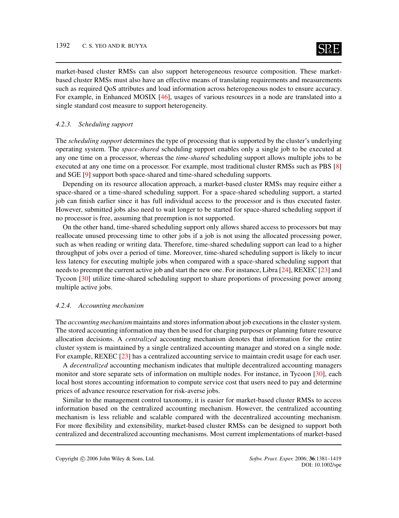market-based cluster RMSs can also support heterogeneous resource composition. These marketbased cluster RMSs must also have an effective means of translating requirements and measurements such as required QoS attributes and load information across heterogeneous nodes to ensure accuracy. For example, in Enhanced MOSIX [[46\]](#page-36-11), usages of various resources in a node are translated into a single standard cost measure to support heterogeneity.

#### *4.2.3. Scheduling support*

The *scheduling support* determines the type of processing that is supported by the cluster's underlying operating system. The *space-shared* scheduling support enables only a single job to be executed at any one time on a processor, whereas the *time-shared* scheduling support allows multiple jobs to be executed at any one time on a processor. For example, most traditional cluster RMSs such as PBS [\[8\]](#page-35-11) and SGE [[9\]](#page-35-8) support both space-shared and time-shared scheduling supports.

Depending on its resource allocation approach, a market-based cluster RMSs may require either a space-shared or a time-shared scheduling support. For a space-shared scheduling support, a started job can finish earlier since it has full individual access to the processor and is thus executed faster. However, submitted jobs also need to wait longer to be started for space-shared scheduling support if no processor is free, assuming that preemption is not supported.

On the other hand, time-shared scheduling support only allows shared access to processors but may reallocate unused processing time to other jobs if a job is not using the allocated processing power, such as when reading or writing data. Therefore, time-shared scheduling support can lead to a higher throughput of jobs over a period of time. Moreover, time-shared scheduling support is likely to incur less latency for executing multiple jobs when compared with a space-shared scheduling support that needs to preempt the current active job and start the new one. For instance, Libra [\[24](#page-35-25)], REXEC [\[23](#page-35-16)] and Tycoon [\[30\]](#page-36-13) utilize time-shared scheduling support to share proportions of processing power among multiple active jobs.

#### *4.2.4. Accounting mechanism*

The *accounting mechanism* maintains and stores information about job executions in the cluster system. The stored accounting information may then be used for charging purposes or planning future resource allocation decisions. A *centralized* accounting mechanism denotes that information for the entire cluster system is maintained by a single centralized accounting manager and stored on a single node. For example, REXEC [[23\]](#page-35-16) has a centralized accounting service to maintain credit usage for each user.

A *decentralized* accounting mechanism indicates that multiple decentralized accounting managers monitor and store separate sets of information on multiple nodes. For instance, in Tycoon [[30\]](#page-36-13), each local host stores accounting information to compute service cost that users need to pay and determine prices of advance resource reservation for risk-averse jobs.

Similar to the management control taxonomy, it is easier for market-based cluster RMSs to access information based on the centralized accounting mechanism. However, the centralized accounting mechanism is less reliable and scalable compared with the decentralized accounting mechanism. For more flexibility and extensibility, market-based cluster RMSs can be designed to support both centralized and decentralized accounting mechanisms. Most current implementations of market-based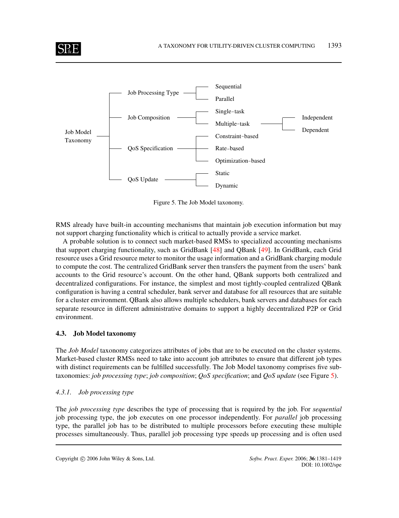

<span id="page-12-0"></span>

Figure 5. The Job Model taxonomy.

RMS already have built-in accounting mechanisms that maintain job execution information but may not support charging functionality which is critical to actually provide a service market.

A probable solution is to connect such market-based RMSs to specialized accounting mechanisms that support charging functionality, such as GridBank [[48\]](#page-36-14) and QBank [\[49](#page-36-15)]. In GridBank, each Grid resource uses a Grid resource meter to monitor the usage information and a GridBank charging module to compute the cost. The centralized GridBank server then transfers the payment from the users' bank accounts to the Grid resource's account. On the other hand, QBank supports both centralized and decentralized configurations. For instance, the simplest and most tightly-coupled centralized QBank configuration is having a central scheduler, bank server and database for all resources that are suitable for a cluster environment. QBank also allows multiple schedulers, bank servers and databases for each separate resource in different administrative domains to support a highly decentralized P2P or Grid environment.

# **4.3. Job Model taxonomy**

The *Job Model* taxonomy categorizes attributes of jobs that are to be executed on the cluster systems. Market-based cluster RMSs need to take into account job attributes to ensure that different job types with distinct requirements can be fulfilled successfully. The Job Model taxonomy comprises five subtaxonomies: *job processing type*; *job composition*; *QoS specification*; and *QoS update* (see Figure [5\)](#page-12-0).

## *4.3.1. Job processing type*

The *job processing type* describes the type of processing that is required by the job. For *sequential* job processing type, the job executes on one processor independently. For *parallel* job processing type, the parallel job has to be distributed to multiple processors before executing these multiple processes simultaneously. Thus, parallel job processing type speeds up processing and is often used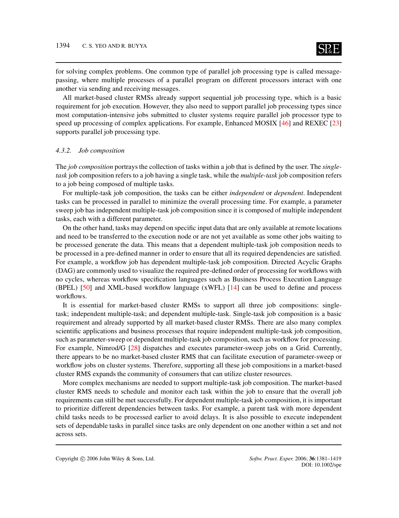for solving complex problems. One common type of parallel job processing type is called messagepassing, where multiple processes of a parallel program on different processors interact with one another via sending and receiving messages.

All market-based cluster RMSs already support sequential job processing type, which is a basic requirement for job execution. However, they also need to support parallel job processing types since most computation-intensive jobs submitted to cluster systems require parallel job processor type to speed up processing of complex applications. For example, Enhanced MOSIX [\[46\]](#page-36-11) and REXEC [\[23\]](#page-35-16) supports parallel job processing type.

## *4.3.2. Job composition*

The *job composition* portrays the collection of tasks within a job that is defined by the user. The *singletask* job composition refers to a job having a single task, while the *multiple-task* job composition refers to a job being composed of multiple tasks.

For multiple-task job composition, the tasks can be either *independent* or *dependent*. Independent tasks can be processed in parallel to minimize the overall processing time. For example, a parameter sweep job has independent multiple-task job composition since it is composed of multiple independent tasks, each with a different parameter.

On the other hand, tasks may depend on specific input data that are only available at remote locations and need to be transferred to the execution node or are not yet available as some other jobs waiting to be processed generate the data. This means that a dependent multiple-task job composition needs to be processed in a pre-defined manner in order to ensure that all its required dependencies are satisfied. For example, a workflow job has dependent multiple-task job composition. Directed Acyclic Graphs (DAG) are commonly used to visualize the required pre-defined order of processing for workflows with no cycles, whereas workflow specification languages such as Business Process Execution Language (BPEL) [[50\]](#page-36-16) and XML-based workflow language (xWFL) [[14\]](#page-35-5) can be used to define and process workflows.

It is essential for market-based cluster RMSs to support all three job compositions: singletask; independent multiple-task; and dependent multiple-task. Single-task job composition is a basic requirement and already supported by all market-based cluster RMSs. There are also many complex scientific applications and business processes that require independent multiple-task job composition, such as parameter-sweep or dependent multiple-task job composition, such as workflow for processing. For example, Nimrod/G [[28\]](#page-35-13) dispatches and executes parameter-sweep jobs on a Grid. Currently, there appears to be no market-based cluster RMS that can facilitate execution of parameter-sweep or workflow jobs on cluster systems. Therefore, supporting all these job compositions in a market-based cluster RMS expands the community of consumers that can utilize cluster resources.

More complex mechanisms are needed to support multiple-task job composition. The market-based cluster RMS needs to schedule and monitor each task within the job to ensure that the overall job requirements can still be met successfully. For dependent multiple-task job composition, it is important to prioritize different dependencies between tasks. For example, a parent task with more dependent child tasks needs to be processed earlier to avoid delays. It is also possible to execute independent sets of dependable tasks in parallel since tasks are only dependent on one another within a set and not across sets.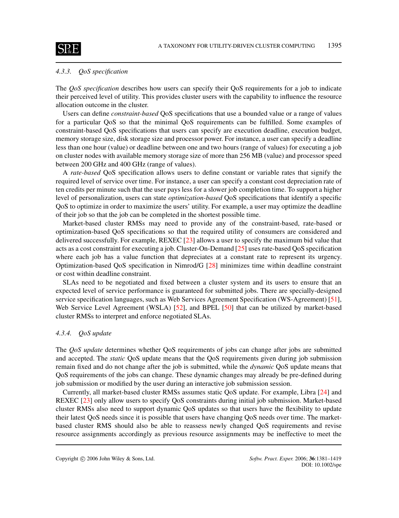

#### *4.3.3. QoS specification*

The *QoS specification* describes how users can specify their QoS requirements for a job to indicate their perceived level of utility. This provides cluster users with the capability to influence the resource allocation outcome in the cluster.

Users can define *constraint-based* QoS specifications that use a bounded value or a range of values for a particular QoS so that the minimal QoS requirements can be fulfilled. Some examples of constraint-based QoS specifications that users can specify are execution deadline, execution budget, memory storage size, disk storage size and processor power. For instance, a user can specify a deadline less than one hour (value) or deadline between one and two hours (range of values) for executing a job on cluster nodes with available memory storage size of more than 256 MB (value) and processor speed between 200 GHz and 400 GHz (range of values).

A *rate-based* QoS specification allows users to define constant or variable rates that signify the required level of service over time. For instance, a user can specify a constant cost depreciation rate of ten credits per minute such that the user pays less for a slower job completion time. To support a higher level of personalization, users can state *optimization-based* QoS specifications that identify a specific QoS to optimize in order to maximize the users' utility. For example, a user may optimize the deadline of their job so that the job can be completed in the shortest possible time.

Market-based cluster RMSs may need to provide any of the constraint-based, rate-based or optimization-based QoS specifications so that the required utility of consumers are considered and delivered successfully. For example, REXEC [\[23](#page-35-16)] allows a user to specify the maximum bid value that acts as a cost constraint for executing a job. Cluster-On-Demand [[25\]](#page-35-24) uses rate-based QoS specification where each job has a value function that depreciates at a constant rate to represent its urgency. Optimization-based QoS specification in Nimrod/G [\[28](#page-35-13)] minimizes time within deadline constraint or cost within deadline constraint.

SLAs need to be negotiated and fixed between a cluster system and its users to ensure that an expected level of service performance is guaranteed for submitted jobs. There are specially-designed service specification languages, such as Web Services Agreement Specification (WS-Agreement) [\[51](#page-36-17)], Web Service Level Agreement (WSLA) [\[52](#page-36-18)], and BPEL [\[50](#page-36-16)] that can be utilized by market-based cluster RMSs to interpret and enforce negotiated SLAs.

## *4.3.4. QoS update*

The *QoS update* determines whether QoS requirements of jobs can change after jobs are submitted and accepted. The *static* QoS update means that the QoS requirements given during job submission remain fixed and do not change after the job is submitted, while the *dynamic* QoS update means that QoS requirements of the jobs can change. These dynamic changes may already be pre-defined during job submission or modified by the user during an interactive job submission session.

Currently, all market-based cluster RMSs assumes static QoS update. For example, Libra [\[24](#page-35-25)] and REXEC [\[23](#page-35-16)] only allow users to specify QoS constraints during initial job submission. Market-based cluster RMSs also need to support dynamic QoS updates so that users have the flexibility to update their latest QoS needs since it is possible that users have changing QoS needs over time. The marketbased cluster RMS should also be able to reassess newly changed QoS requirements and revise resource assignments accordingly as previous resource assignments may be ineffective to meet the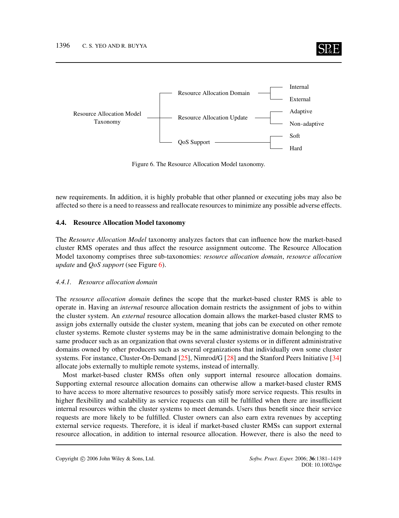

<span id="page-15-0"></span>

Figure 6. The Resource Allocation Model taxonomy.

new requirements. In addition, it is highly probable that other planned or executing jobs may also be affected so there is a need to reassess and reallocate resources to minimize any possible adverse effects.

## **4.4. Resource Allocation Model taxonomy**

The *Resource Allocation Model* taxonomy analyzes factors that can influence how the market-based cluster RMS operates and thus affect the resource assignment outcome. The Resource Allocation Model taxonomy comprises three sub-taxonomies: *resource allocation domain*, *resource allocation update* and *QoS support* (see Figure [6\)](#page-15-0).

## *4.4.1. Resource allocation domain*

The *resource allocation domain* defines the scope that the market-based cluster RMS is able to operate in. Having an *internal* resource allocation domain restricts the assignment of jobs to within the cluster system. An *external* resource allocation domain allows the market-based cluster RMS to assign jobs externally outside the cluster system, meaning that jobs can be executed on other remote cluster systems. Remote cluster systems may be in the same administrative domain belonging to the same producer such as an organization that owns several cluster systems or in different administrative domains owned by other producers such as several organizations that individually own some cluster systems. For instance, Cluster-On-Demand [\[25](#page-35-24)], Nimrod/G [\[28](#page-35-13)] and the Stanford Peers Initiative [\[34\]](#page-36-1) allocate jobs externally to multiple remote systems, instead of internally.

Most market-based cluster RMSs often only support internal resource allocation domains. Supporting external resource allocation domains can otherwise allow a market-based cluster RMS to have access to more alternative resources to possibly satisfy more service requests. This results in higher flexibility and scalability as service requests can still be fulfilled when there are insufficient internal resources within the cluster systems to meet demands. Users thus benefit since their service requests are more likely to be fulfilled. Cluster owners can also earn extra revenues by accepting external service requests. Therefore, it is ideal if market-based cluster RMSs can support external resource allocation, in addition to internal resource allocation. However, there is also the need to

Copyright  $\odot$  2006 John Wiley & Sons, Ltd.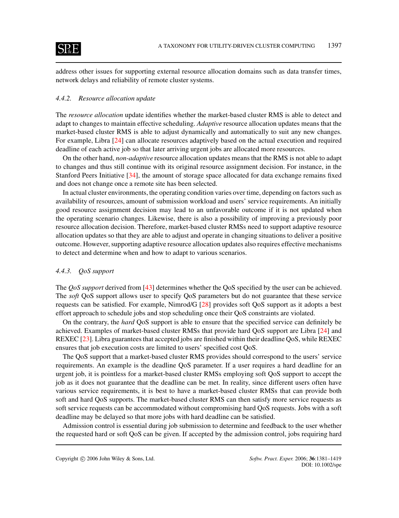address other issues for supporting external resource allocation domains such as data transfer times, network delays and reliability of remote cluster systems.

## *4.4.2. Resource allocation update*

The *resource allocation* update identifies whether the market-based cluster RMS is able to detect and adapt to changes to maintain effective scheduling. *Adaptive* resource allocation updates means that the market-based cluster RMS is able to adjust dynamically and automatically to suit any new changes. For example, Libra [[24\]](#page-35-25) can allocate resources adaptively based on the actual execution and required deadline of each active job so that later arriving urgent jobs are allocated more resources.

On the other hand, *non-adaptive* resource allocation updates means that the RMS is not able to adapt to changes and thus still continue with its original resource assignment decision. For instance, in the Stanford Peers Initiative [\[34](#page-36-1)], the amount of storage space allocated for data exchange remains fixed and does not change once a remote site has been selected.

In actual cluster environments, the operating condition varies over time, depending on factors such as availability of resources, amount of submission workload and users' service requirements. An initially good resource assignment decision may lead to an unfavorable outcome if it is not updated when the operating scenario changes. Likewise, there is also a possibility of improving a previously poor resource allocation decision. Therefore, market-based cluster RMSs need to support adaptive resource allocation updates so that they are able to adjust and operate in changing situations to deliver a positive outcome. However, supporting adaptive resource allocation updates also requires effective mechanisms to detect and determine when and how to adapt to various scenarios.

## *4.4.3. QoS support*

The *QoS support* derived from [\[43](#page-36-6)] determines whether the QoS specified by the user can be achieved. The *soft* QoS support allows user to specify QoS parameters but do not guarantee that these service requests can be satisfied. For example, Nimrod/G [[28\]](#page-35-13) provides soft QoS support as it adopts a best effort approach to schedule jobs and stop scheduling once their QoS constraints are violated.

On the contrary, the *hard* QoS support is able to ensure that the specified service can definitely be achieved. Examples of market-based cluster RMSs that provide hard QoS support are Libra [\[24](#page-35-25)] and REXEC [\[23](#page-35-16)]. Libra guarantees that accepted jobs are finished within their deadline QoS, while REXEC ensures that job execution costs are limited to users' specified cost QoS.

The QoS support that a market-based cluster RMS provides should correspond to the users' service requirements. An example is the deadline QoS parameter. If a user requires a hard deadline for an urgent job, it is pointless for a market-based cluster RMSs employing soft QoS support to accept the job as it does not guarantee that the deadline can be met. In reality, since different users often have various service requirements, it is best to have a market-based cluster RMSs that can provide both soft and hard QoS supports. The market-based cluster RMS can then satisfy more service requests as soft service requests can be accommodated without compromising hard QoS requests. Jobs with a soft deadline may be delayed so that more jobs with hard deadline can be satisfied.

Admission control is essential during job submission to determine and feedback to the user whether the requested hard or soft QoS can be given. If accepted by the admission control, jobs requiring hard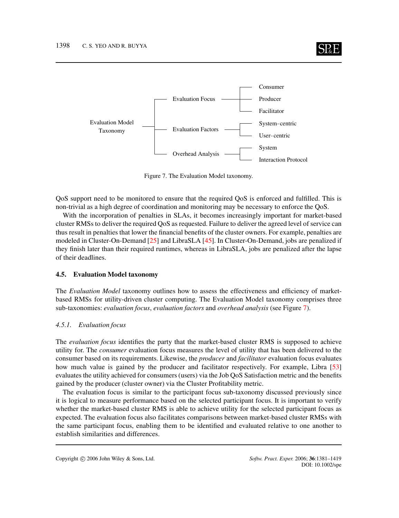<span id="page-17-0"></span>

Figure 7. The Evaluation Model taxonomy.

QoS support need to be monitored to ensure that the required QoS is enforced and fulfilled. This is non-trivial as a high degree of coordination and monitoring may be necessary to enforce the QoS.

With the incorporation of penalties in SLAs, it becomes increasingly important for market-based cluster RMSs to deliver the required QoS as requested. Failure to deliver the agreed level of service can thus result in penalties that lower the financial benefits of the cluster owners. For example, penalties are modeled in Cluster-On-Demand [[25\]](#page-35-24) and LibraSLA [\[45](#page-36-10)]. In Cluster-On-Demand, jobs are penalized if they finish later than their required runtimes, whereas in LibraSLA, jobs are penalized after the lapse of their deadlines.

#### **4.5. Evaluation Model taxonomy**

The *Evaluation Model* taxonomy outlines how to assess the effectiveness and efficiency of marketbased RMSs for utility-driven cluster computing. The Evaluation Model taxonomy comprises three sub-taxonomies: *evaluation focus*, *evaluation factors* and *overhead analysis* (see Figure [7](#page-17-0)).

## *4.5.1. Evaluation focus*

The *evaluation focus* identifies the party that the market-based cluster RMS is supposed to achieve utility for. The *consumer* evaluation focus measures the level of utility that has been delivered to the consumer based on its requirements. Likewise, the *producer* and *facilitator* evaluation focus evaluates how much value is gained by the producer and facilitator respectively. For example, Libra [\[53\]](#page-36-19) evaluates the utility achieved for consumers (users) via the Job QoS Satisfaction metric and the benefits gained by the producer (cluster owner) via the Cluster Profitability metric.

The evaluation focus is similar to the participant focus sub-taxonomy discussed previously since it is logical to measure performance based on the selected participant focus. It is important to verify whether the market-based cluster RMS is able to achieve utility for the selected participant focus as expected. The evaluation focus also facilitates comparisons between market-based cluster RMSs with the same participant focus, enabling them to be identified and evaluated relative to one another to establish similarities and differences.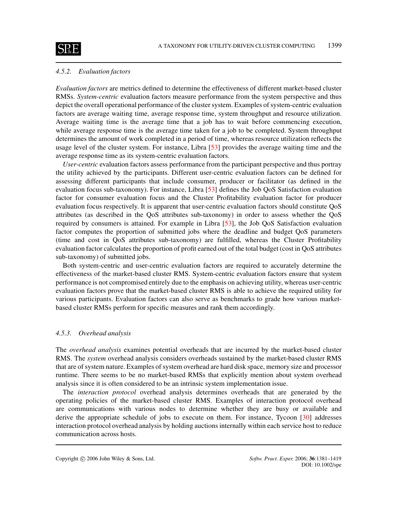

#### *4.5.2. Evaluation factors*

*Evaluation factors* are metrics defined to determine the effectiveness of different market-based cluster RMSs. *System-centric* evaluation factors measure performance from the system perspective and thus depict the overall operational performance of the cluster system. Examples of system-centric evaluation factors are average waiting time, average response time, system throughput and resource utilization. Average waiting time is the average time that a job has to wait before commencing execution, while average response time is the average time taken for a job to be completed. System throughput determines the amount of work completed in a period of time, whereas resource utilization reflects the usage level of the cluster system. For instance, Libra [[53\]](#page-36-19) provides the average waiting time and the average response time as its system-centric evaluation factors.

*User-centric* evaluation factors assess performance from the participant perspective and thus portray the utility achieved by the participants. Different user-centric evaluation factors can be defined for assessing different participants that include consumer, producer or facilitator (as defined in the evaluation focus sub-taxonomy). For instance, Libra [[53\]](#page-36-19) defines the Job QoS Satisfaction evaluation factor for consumer evaluation focus and the Cluster Profitability evaluation factor for producer evaluation focus respectively. It is apparent that user-centric evaluation factors should constitute QoS attributes (as described in the QoS attributes sub-taxonomy) in order to assess whether the QoS required by consumers is attained. For example in Libra [[53\]](#page-36-19), the Job QoS Satisfaction evaluation factor computes the proportion of submitted jobs where the deadline and budget QoS parameters (time and cost in QoS attributes sub-taxonomy) are fulfilled, whereas the Cluster Profitability evaluation factor calculates the proportion of profit earned out of the total budget (cost in QoS attributes sub-taxonomy) of submitted jobs.

Both system-centric and user-centric evaluation factors are required to accurately determine the effectiveness of the market-based cluster RMS. System-centric evaluation factors ensure that system performance is not compromised entirely due to the emphasis on achieving utility, whereas user-centric evaluation factors prove that the market-based cluster RMS is able to achieve the required utility for various participants. Evaluation factors can also serve as benchmarks to grade how various marketbased cluster RMSs perform for specific measures and rank them accordingly.

#### *4.5.3. Overhead analysis*

The *overhead analysis* examines potential overheads that are incurred by the market-based cluster RMS. The *system* overhead analysis considers overheads sustained by the market-based cluster RMS that are of system nature. Examples of system overhead are hard disk space, memory size and processor runtime. There seems to be no market-based RMSs that explicitly mention about system overhead analysis since it is often considered to be an intrinsic system implementation issue.

The *interaction protocol* overhead analysis determines overheads that are generated by the operating policies of the market-based cluster RMS. Examples of interaction protocol overhead are communications with various nodes to determine whether they are busy or available and derive the appropriate schedule of jobs to execute on them. For instance, Tycoon [\[30](#page-36-13)] addresses interaction protocol overhead analysis by holding auctions internally within each service host to reduce communication across hosts.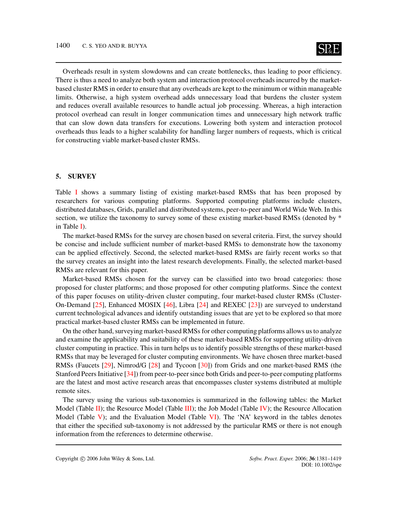Overheads result in system slowdowns and can create bottlenecks, thus leading to poor efficiency. There is thus a need to analyze both system and interaction protocol overheads incurred by the marketbased cluster RMS in order to ensure that any overheads are kept to the minimum or within manageable limits. Otherwise, a high system overhead adds unnecessary load that burdens the cluster system and reduces overall available resources to handle actual job processing. Whereas, a high interaction protocol overhead can result in longer communication times and unnecessary high network traffic that can slow down data transfers for executions. Lowering both system and interaction protocol overheads thus leads to a higher scalability for handling larger numbers of requests, which is critical for constructing viable market-based cluster RMSs.

#### **5. SURVEY**

Table [I](#page-20-0) shows a summary listing of existing market-based RMSs that has been proposed by researchers for various computing platforms. Supported computing platforms include clusters, distributed databases, Grids, parallel and distributed systems, peer-to-peer and World Wide Web. In this section, we utilize the taxonomy to survey some of these existing market-based RMSs (denoted by \* in Table [I](#page-20-0)).

The market-based RMSs for the survey are chosen based on several criteria. First, the survey should be concise and include sufficient number of market-based RMSs to demonstrate how the taxonomy can be applied effectively. Second, the selected market-based RMSs are fairly recent works so that the survey creates an insight into the latest research developments. Finally, the selected market-based RMSs are relevant for this paper.

Market-based RMSs chosen for the survey can be classified into two broad categories: those proposed for cluster platforms; and those proposed for other computing platforms. Since the context of this paper focuses on utility-driven cluster computing, four market-based cluster RMSs (Cluster-On-Demand [\[25](#page-35-24)], Enhanced MOSIX [[46\]](#page-36-11), Libra [\[24](#page-35-25)] and REXEC [[23\]](#page-35-16)) are surveyed to understand current technological advances and identify outstanding issues that are yet to be explored so that more practical market-based cluster RMSs can be implemented in future.

On the other hand, surveying market-based RMSs for other computing platforms allows us to analyze and examine the applicability and suitability of these market-based RMSs for supporting utility-driven cluster computing in practice. This in turn helps us to identify possible strengths of these market-based RMSs that may be leveraged for cluster computing environments. We have chosen three market-based RMSs (Faucets [[29\]](#page-35-26), Nimrod/G [[28\]](#page-35-13) and Tycoon [\[30](#page-36-13)]) from Grids and one market-based RMS (the Stanford Peers Initiative [[34\]](#page-36-1)) from peer-to-peer since both Grids and peer-to-peer computing platforms are the latest and most active research areas that encompasses cluster systems distributed at multiple remote sites.

The survey using the various sub-taxonomies is summarized in the following tables: the Market Model (Table  $II$ ); the Resource Model (Table  $III$ ); the Job Model (Table [IV](#page-25-0)); the Resource Allocation Model (Table  $V$ ); and the Evaluation Model (Table [VI](#page-25-1)). The 'NA' keyword in the tables denotes that either the specified sub-taxonomy is not addressed by the particular RMS or there is not enough information from the references to determine otherwise.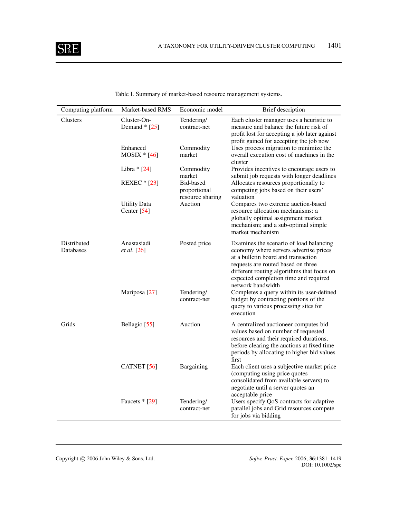| Computing platform       | Market-based RMS                    | Economic model                                | Brief description                                                                                                                                                                                                                                                          |
|--------------------------|-------------------------------------|-----------------------------------------------|----------------------------------------------------------------------------------------------------------------------------------------------------------------------------------------------------------------------------------------------------------------------------|
| Clusters                 | Cluster-On-<br>Demand $*$ [25]      | Tendering/<br>contract-net                    | Each cluster manager uses a heuristic to<br>measure and balance the future risk of<br>profit lost for accepting a job later against<br>profit gained for accepting the job now                                                                                             |
|                          | Enhanced<br>$MOSIX * [46]$          | Commodity<br>market                           | Uses process migration to minimize the<br>overall execution cost of machines in the<br>cluster                                                                                                                                                                             |
|                          | Libra $*$ [24]                      | Commodity<br>market                           | Provides incentives to encourage users to<br>submit job requests with longer deadlines                                                                                                                                                                                     |
|                          | <b>REXEC</b> * [23]                 | Bid-based<br>proportional<br>resource sharing | Allocates resources proportionally to<br>competing jobs based on their users'<br>valuation                                                                                                                                                                                 |
|                          | <b>Utility Data</b><br>Center [54]  | Auction                                       | Compares two extreme auction-based<br>resource allocation mechanisms: a<br>globally optimal assignment market<br>mechanism; and a sub-optimal simple<br>market mechanism                                                                                                   |
| Distributed<br>Databases | Anastasiadi<br><i>et al.</i> $[26]$ | Posted price                                  | Examines the scenario of load balancing<br>economy where servers advertise prices<br>at a bulletin board and transaction<br>requests are routed based on three<br>different routing algorithms that focus on<br>expected completion time and required<br>network bandwidth |
|                          | Mariposa [27]                       | Tendering/<br>contract-net                    | Completes a query within its user-defined<br>budget by contracting portions of the<br>query to various processing sites for<br>execution                                                                                                                                   |
| Grids                    | Bellagio [55]                       | Auction                                       | A centralized auctioneer computes bid<br>values based on number of requested<br>resources and their required durations,<br>before clearing the auctions at fixed time<br>periods by allocating to higher bid values<br>first                                               |
|                          | CATNET [56]                         | Bargaining                                    | Each client uses a subjective market price<br>(computing using price quotes<br>consolidated from available servers) to<br>negotiate until a server quotes an<br>acceptable price                                                                                           |
|                          | Faucets $*$ [29]                    | Tendering/<br>contract-net                    | Users specify QoS contracts for adaptive<br>parallel jobs and Grid resources compete<br>for jobs via bidding                                                                                                                                                               |

<span id="page-20-0"></span>Table I. Summary of market-based resource management systems.

Copyright  $\odot$  2006 John Wiley & Sons, Ltd.

c 2006 John Wiley & Sons, Ltd. *Softw. Pract. Exper.* 2006; **36**:1381–1419 DOI: 10.1002/spe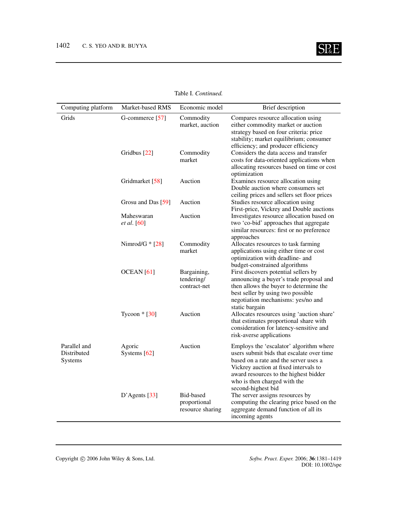| Computing platform                     | Market-based RMS                 | Economic model                                | Brief description                                                                                                                                                                                                                                                     |
|----------------------------------------|----------------------------------|-----------------------------------------------|-----------------------------------------------------------------------------------------------------------------------------------------------------------------------------------------------------------------------------------------------------------------------|
| Grids                                  | G-commerce [57]                  | Commodity<br>market, auction                  | Compares resource allocation using<br>either commodity market or auction<br>strategy based on four criteria: price<br>stability; market equilibrium; consumer<br>efficiency; and producer efficiency                                                                  |
|                                        | Gridbus [22]                     | Commodity<br>market                           | Considers the data access and transfer<br>costs for data-oriented applications when<br>allocating resources based on time or cost<br>optimization                                                                                                                     |
|                                        | Gridmarket [58]                  | Auction                                       | Examines resource allocation using<br>Double auction where consumers set<br>ceiling prices and sellers set floor prices                                                                                                                                               |
|                                        | Grosu and Das [59]               | Auction                                       | Studies resource allocation using<br>First-price, Vickrey and Double auctions                                                                                                                                                                                         |
|                                        | Maheswaran<br><i>et al.</i> [60] | Auction                                       | Investigates resource allocation based on<br>two 'co-bid' approaches that aggregate<br>similar resources: first or no preference<br>approaches                                                                                                                        |
|                                        | Nimrod/G $*$ [28]                | Commodity<br>market                           | Allocates resources to task farming<br>applications using either time or cost<br>optimization with deadline- and<br>budget-constrained algorithms                                                                                                                     |
|                                        | OCEAN $[61]$                     | Bargaining,<br>tendering/<br>contract-net     | First discovers potential sellers by<br>announcing a buyer's trade proposal and<br>then allows the buyer to determine the<br>best seller by using two possible<br>negotiation mechanisms: yes/no and<br>static bargain                                                |
|                                        | Tycoon $*$ [30]                  | Auction                                       | Allocates resources using 'auction share'<br>that estimates proportional share with<br>consideration for latency-sensitive and<br>risk-averse applications                                                                                                            |
| Parallel and<br>Distributed<br>Systems | Agoric<br>Systems $[62]$         | Auction                                       | Employs the 'escalator' algorithm where<br>users submit bids that escalate over time<br>based on a rate and the server uses a<br>Vickrey auction at fixed intervals to<br>award resources to the highest bidder<br>who is then charged with the<br>second-highest bid |
|                                        | D'Agents [33]                    | Bid-based<br>proportional<br>resource sharing | The server assigns resources by<br>computing the clearing price based on the<br>aggregate demand function of all its<br>incoming agents                                                                                                                               |

c 2006 John Wiley & Sons, Ltd. *Softw. Pract. Exper.* 2006; **36**:1381–1419 DOI: 10.1002/spe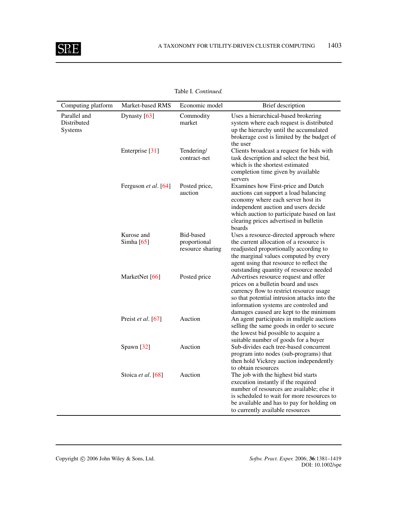| Computing platform                            | Market-based RMS           | Economic model                                | Brief description                                                                                                                                                                                                                                            |
|-----------------------------------------------|----------------------------|-----------------------------------------------|--------------------------------------------------------------------------------------------------------------------------------------------------------------------------------------------------------------------------------------------------------------|
| Parallel and<br>Distributed<br><b>Systems</b> | Dynasty $[63]$             | Commodity<br>market                           | Uses a hierarchical-based brokering<br>system where each request is distributed<br>up the hierarchy until the accumulated<br>brokerage cost is limited by the budget of<br>the user                                                                          |
|                                               | Enterprise [31]            | Tendering/<br>contract-net                    | Clients broadcast a request for bids with<br>task description and select the best bid,<br>which is the shortest estimated<br>completion time given by available<br>servers                                                                                   |
|                                               | Ferguson et al. [64]       | Posted price,<br>auction                      | Examines how First-price and Dutch<br>auctions can support a load balancing<br>economy where each server host its<br>independent auction and users decide<br>which auction to participate based on last<br>clearing prices advertised in bulletin<br>boards  |
|                                               | Kurose and<br>Simha $[65]$ | Bid-based<br>proportional<br>resource sharing | Uses a resource-directed approach where<br>the current allocation of a resource is<br>readjusted proportionally according to<br>the marginal values computed by every<br>agent using that resource to reflect the<br>outstanding quantity of resource needed |
|                                               | MarketNet [66]             | Posted price                                  | Advertises resource request and offer<br>prices on a bulletin board and uses<br>currency flow to restrict resource usage<br>so that potential intrusion attacks into the<br>information systems are controled and<br>damages caused are kept to the minimum  |
|                                               | Preist et al. [67]         | Auction                                       | An agent participates in multiple auctions<br>selling the same goods in order to secure<br>the lowest bid possible to acquire a<br>suitable number of goods for a buyer                                                                                      |
|                                               | Spawn [32]                 | Auction                                       | Sub-divides each tree-based concurrent<br>program into nodes (sub-programs) that<br>then hold Vickrey auction independently<br>to obtain resources                                                                                                           |
|                                               | Stoica et al. [68]         | Auction                                       | The job with the highest bid starts<br>execution instantly if the required<br>number of resources are available: else it<br>is scheduled to wait for more resources to<br>be available and has to pay for holding on<br>to currently available resources     |

Table I. *Continued.*

Copyright  $\odot$  2006 John Wiley & Sons, Ltd.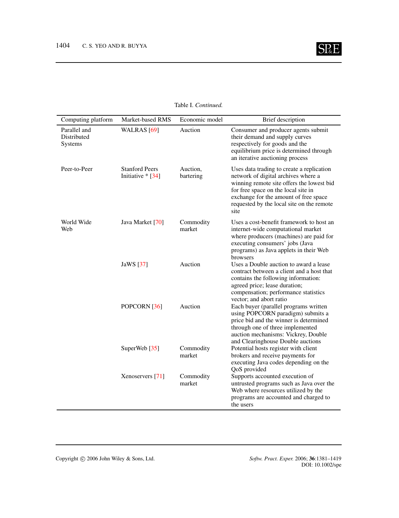| Computing platform                            | Market-based RMS                           | Economic model        | Brief description                                                                                                                                                                                                                                                  |
|-----------------------------------------------|--------------------------------------------|-----------------------|--------------------------------------------------------------------------------------------------------------------------------------------------------------------------------------------------------------------------------------------------------------------|
| Parallel and<br>Distributed<br><b>Systems</b> | WALRAS <sup>[69]</sup>                     | Auction               | Consumer and producer agents submit<br>their demand and supply curves<br>respectively for goods and the<br>equilibrium price is determined through<br>an iterative auctioning process                                                                              |
| Peer-to-Peer                                  | <b>Stanford Peers</b><br>Initiative * [34] | Auction,<br>bartering | Uses data trading to create a replication<br>network of digital archives where a<br>winning remote site offers the lowest bid<br>for free space on the local site in<br>exchange for the amount of free space<br>requested by the local site on the remote<br>site |
| World Wide<br>Web                             | Java Market [70]                           | Commodity<br>market   | Uses a cost-benefit framework to host an<br>internet-wide computational market<br>where producers (machines) are paid for<br>executing consumers' jobs (Java<br>programs) as Java applets in their Web<br>browsers                                                 |
|                                               | JaWS [37]                                  | Auction               | Uses a Double auction to award a lease<br>contract between a client and a host that<br>contains the following information:<br>agreed price; lease duration;<br>compensation; performance statistics<br>vector; and abort ratio                                     |
|                                               | POPCORN <sub>[36]</sub>                    | Auction               | Each buyer (parallel programs written<br>using POPCORN paradigm) submits a<br>price bid and the winner is determined<br>through one of three implemented<br>auction mechanisms: Vickrey, Double<br>and Clearinghouse Double auctions                               |
|                                               | SuperWeb <sup>[35]</sup>                   | Commodity<br>market   | Potential hosts register with client<br>brokers and receive payments for<br>executing Java codes depending on the<br>QoS provided                                                                                                                                  |
|                                               | Xenoservers [71]                           | Commodity<br>market   | Supports accounted execution of<br>untrusted programs such as Java over the<br>Web where resources utilized by the<br>programs are accounted and charged to<br>the users                                                                                           |

Table I. *Continued.*

Copyright  $\odot$  2006 John Wiley & Sons, Ltd.

c 2006 John Wiley & Sons, Ltd. *Softw. Pract. Exper.* 2006; **36**:1381–1419 DOI: 10.1002/spe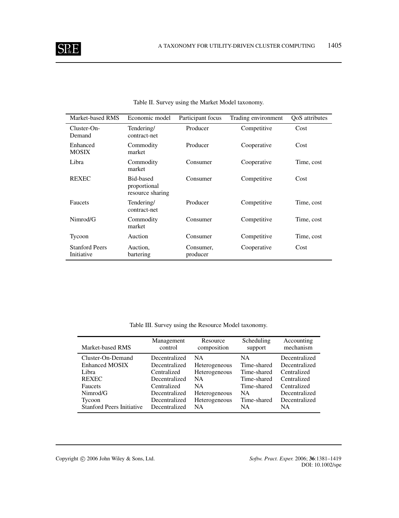<span id="page-24-1"></span>

| Market-based RMS                    | Economic model                                | Participant focus     | Trading environment | OoS attributes |
|-------------------------------------|-----------------------------------------------|-----------------------|---------------------|----------------|
| Cluster-On-<br>Demand               | Tendering/<br>contract-net                    | Producer              | Competitive         | Cost           |
| Enhanced<br><b>MOSIX</b>            | Commodity<br>market                           | Producer              | Cooperative         | Cost           |
| Libra                               | Commodity<br>market                           | Consumer              | Cooperative         | Time, cost     |
| <b>REXEC</b>                        | Bid-based<br>proportional<br>resource sharing | Consumer              | Competitive         | Cost           |
| Faucets                             | Tendering/<br>contract-net                    | Producer              | Competitive         | Time, cost     |
| Nimrod/G                            | Commodity<br>market                           | Consumer              | Competitive         | Time, cost     |
| Tycoon                              | Auction                                       | Consumer              | Competitive         | Time, cost     |
| <b>Stanford Peers</b><br>Initiative | Auction,<br>bartering                         | Consumer,<br>producer | Cooperative         | Cost           |

Table II. Survey using the Market Model taxonomy.

Table III. Survey using the Resource Model taxonomy.

<span id="page-24-0"></span>

| Market-based RMS                 | Management<br>control | Resource<br>composition | Scheduling<br>support | Accounting<br>mechanism |
|----------------------------------|-----------------------|-------------------------|-----------------------|-------------------------|
| Cluster-On-Demand                | Decentralized         | NA.                     | NA                    | Decentralized           |
| <b>Enhanced MOSIX</b>            | Decentralized         | Heterogeneous           | Time-shared           | Decentralized           |
| Libra                            | Centralized           | Heterogeneous           | Time-shared           | Centralized             |
| <b>REXEC</b>                     | Decentralized         | <b>NA</b>               | Time-shared           | Centralized             |
| <b>Faucets</b>                   | Centralized           | NA                      | Time-shared           | Centralized             |
| Nimrod/G                         | Decentralized         | Heterogeneous           | <b>NA</b>             | Decentralized           |
| Tycoon                           | Decentralized         | Heterogeneous           | Time-shared           | Decentralized           |
| <b>Stanford Peers Initiative</b> | Decentralized         | NA                      | NA                    | NA                      |

Copyright  $\odot$  2006 John Wiley & Sons, Ltd.

c 2006 John Wiley & Sons, Ltd. *Softw. Pract. Exper.* 2006; **36**:1381–1419 DOI: 10.1002/spe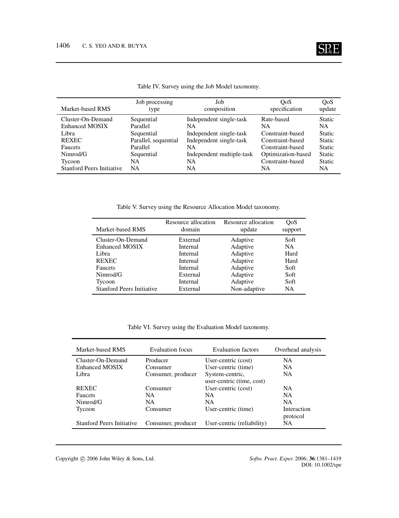<span id="page-25-0"></span>

| Market-based RMS                           | Job processing<br>type | Job<br>composition            | OoS<br>specification | <b>OoS</b><br>update       |
|--------------------------------------------|------------------------|-------------------------------|----------------------|----------------------------|
| Cluster-On-Demand<br><b>Enhanced MOSIX</b> | Sequential<br>Parallel | Independent single-task       | Rate-based<br>NA     | <b>Static</b><br><b>NA</b> |
| Libra                                      | Sequential             | NA<br>Independent single-task | Constraint-based     | <b>Static</b>              |
| <b>REXEC</b>                               | Parallel, sequential   | Independent single-task       | Constraint-based     | <b>Static</b>              |
| <b>Faucets</b>                             | Parallel               | NA                            | Constraint-based     | <b>Static</b>              |
| Nimrod/G                                   | Sequential             | Independent multiple-task     | Optimization-based   | <b>Static</b>              |
| Tycoon                                     | NA                     | NA                            | Constraint-based     | <b>Static</b>              |
| <b>Stanford Peers Initiative</b>           | <b>NA</b>              | NA                            | NA                   | <b>NA</b>                  |

Table IV. Survey using the Job Model taxonomy.

<span id="page-25-2"></span>Table V. Survey using the Resource Allocation Model taxonomy.

| Market-based RMS                 | Resource allocation<br>domain | Resource allocation<br>update | OoS<br>support |
|----------------------------------|-------------------------------|-------------------------------|----------------|
| Cluster-On-Demand                | External                      | Adaptive                      | Soft           |
| <b>Enhanced MOSIX</b>            | Internal                      | Adaptive                      | <b>NA</b>      |
| Libra                            | Internal                      | Adaptive                      | Hard           |
| <b>REXEC</b>                     | Internal                      | Adaptive                      | Hard           |
| <b>Faucets</b>                   | Internal                      | Adaptive                      | Soft           |
| Nimrod/G                         | External                      | Adaptive                      | Soft           |
| Tycoon                           | Internal                      | Adaptive                      | Soft           |
| <b>Stanford Peers Initiative</b> | External                      | Non-adaptive                  | <b>NA</b>      |

## <span id="page-25-1"></span>Table VI. Survey using the Evaluation Model taxonomy.

| Market-based RMS                 | Evaluation focus   | Evaluation factors                           | Overhead analysis       |
|----------------------------------|--------------------|----------------------------------------------|-------------------------|
| Cluster-On-Demand                | Producer           | User-centric (cost)                          | <b>NA</b>               |
| <b>Enhanced MOSIX</b>            | Consumer           | User-centric (time)                          | <b>NA</b>               |
| Libra                            | Consumer, producer | System-centric,<br>user-centric (time, cost) | <b>NA</b>               |
| <b>REXEC</b>                     | Consumer           | User-centric (cost)                          | <b>NA</b>               |
| <b>Faucets</b>                   | <b>NA</b>          | <b>NA</b>                                    | <b>NA</b>               |
| Nimrod/G                         | <b>NA</b>          | <b>NA</b>                                    | <b>NA</b>               |
| Tycoon                           | Consumer           | User-centric (time)                          | Interaction<br>protocol |
| <b>Stanford Peers Initiative</b> | Consumer, producer | User-centric (reliability)                   | <b>NA</b>               |

Copyright  $\odot$  2006 John Wiley & Sons, Ltd.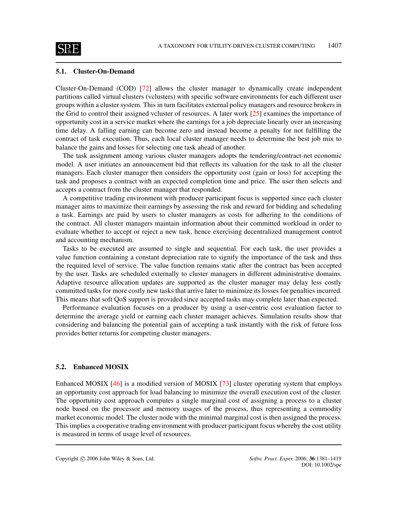

## **5.1. Cluster-On-Demand**

Cluster-On-Demand (COD) [\[72](#page-37-17)] allows the cluster manager to dynamically create independent partitions called virtual clusters (vclusters) with specific software environments for each different user groups within a cluster system. This in turn facilitates external policy managers and resource brokers in the Grid to control their assigned vcluster of resources. A later work [\[25](#page-35-24)] examines the importance of opportunity cost in a service market where the earnings for a job depreciate linearly over an increasing time delay. A falling earning can become zero and instead become a penalty for not fulfilling the contract of task execution. Thus, each local cluster manager needs to determine the best job mix to balance the gains and losses for selecting one task ahead of another.

The task assignment among various cluster managers adopts the tendering/contract-net economic model. A user initiates an announcement bid that reflects its valuation for the task to all the cluster managers. Each cluster manager then considers the opportunity cost (gain or loss) for accepting the task and proposes a contract with an expected completion time and price. The user then selects and accepts a contract from the cluster manager that responded.

A competitive trading environment with producer participant focus is supported since each cluster manager aims to maximize their earnings by assessing the risk and reward for bidding and scheduling a task. Earnings are paid by users to cluster managers as costs for adhering to the conditions of the contract. All cluster managers maintain information about their committed workload in order to evaluate whether to accept or reject a new task, hence exercising decentralized management control and accounting mechanism.

Tasks to be executed are assumed to single and sequential. For each task, the user provides a value function containing a constant depreciation rate to signify the importance of the task and thus the required level of service. The value function remains static after the contract has been accepted by the user. Tasks are scheduled externally to cluster managers in different administrative domains. Adaptive resource allocation updates are supported as the cluster manager may delay less costly committed tasks for more costly new tasks that arrive later to minimize its losses for penalties incurred. This means that soft QoS support is provided since accepted tasks may complete later than expected.

Performance evaluation focuses on a producer by using a user-centric cost evaluation factor to determine the average yield or earning each cluster manager achieves. Simulation results show that considering and balancing the potential gain of accepting a task instantly with the risk of future loss provides better returns for competing cluster managers.

## **5.2. Enhanced MOSIX**

Enhanced MOSIX [\[46\]](#page-36-11) is a modified version of MOSIX [[73\]](#page-37-18) cluster operating system that employs an opportunity cost approach for load balancing to minimize the overall execution cost of the cluster. The opportunity cost approach computes a single marginal cost of assigning a process to a cluster node based on the processor and memory usages of the process, thus representing a commodity market economic model. The cluster node with the minimal marginal cost is then assigned the process. This implies a cooperative trading environment with producer participant focus whereby the cost utility is measured in terms of usage level of resources.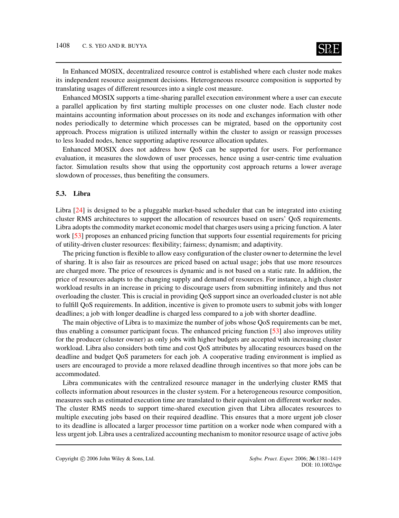In Enhanced MOSIX, decentralized resource control is established where each cluster node makes its independent resource assignment decisions. Heterogeneous resource composition is supported by translating usages of different resources into a single cost measure.

Enhanced MOSIX supports a time-sharing parallel execution environment where a user can execute a parallel application by first starting multiple processes on one cluster node. Each cluster node maintains accounting information about processes on its node and exchanges information with other nodes periodically to determine which processes can be migrated, based on the opportunity cost approach. Process migration is utilized internally within the cluster to assign or reassign processes to less loaded nodes, hence supporting adaptive resource allocation updates.

Enhanced MOSIX does not address how QoS can be supported for users. For performance evaluation, it measures the slowdown of user processes, hence using a user-centric time evaluation factor. Simulation results show that using the opportunity cost approach returns a lower average slowdown of processes, thus benefiting the consumers.

#### **5.3. Libra**

Libra [\[24\]](#page-35-25) is designed to be a pluggable market-based scheduler that can be integrated into existing cluster RMS architectures to support the allocation of resources based on users' QoS requirements. Libra adopts the commodity market economic model that charges users using a pricing function. A later work [[53\]](#page-36-19) proposes an enhanced pricing function that supports four essential requirements for pricing of utility-driven cluster resources: flexibility; fairness; dynamism; and adaptivity.

The pricing function is flexible to allow easy configuration of the cluster owner to determine the level of sharing. It is also fair as resources are priced based on actual usage; jobs that use more resources are charged more. The price of resources is dynamic and is not based on a static rate. In addition, the price of resources adapts to the changing supply and demand of resources. For instance, a high cluster workload results in an increase in pricing to discourage users from submitting infinitely and thus not overloading the cluster. This is crucial in providing QoS support since an overloaded cluster is not able to fulfill QoS requirements. In addition, incentive is given to promote users to submit jobs with longer deadlines; a job with longer deadline is charged less compared to a job with shorter deadline.

The main objective of Libra is to maximize the number of jobs whose QoS requirements can be met, thus enabling a consumer participant focus. The enhanced pricing function [\[53](#page-36-19)] also improves utility for the producer (cluster owner) as only jobs with higher budgets are accepted with increasing cluster workload. Libra also considers both time and cost QoS attributes by allocating resources based on the deadline and budget QoS parameters for each job. A cooperative trading environment is implied as users are encouraged to provide a more relaxed deadline through incentives so that more jobs can be accommodated.

Libra communicates with the centralized resource manager in the underlying cluster RMS that collects information about resources in the cluster system. For a heterogeneous resource composition, measures such as estimated execution time are translated to their equivalent on different worker nodes. The cluster RMS needs to support time-shared execution given that Libra allocates resources to multiple executing jobs based on their required deadline. This ensures that a more urgent job closer to its deadline is allocated a larger processor time partition on a worker node when compared with a less urgent job. Libra uses a centralized accounting mechanism to monitor resource usage of active jobs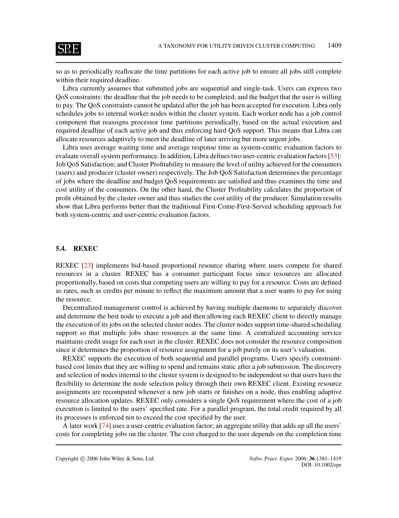

so as to periodically reallocate the time partitions for each active job to ensure all jobs still complete within their required deadline.

Libra currently assumes that submitted jobs are sequential and single-task. Users can express two QoS constraints: the deadline that the job needs to be completed; and the budget that the user is willing to pay. The QoS constraints cannot be updated after the job has been accepted for execution. Libra only schedules jobs to internal worker nodes within the cluster system. Each worker node has a job control component that reassigns processor time partitions periodically, based on the actual execution and required deadline of each active job and thus enforcing hard QoS support. This means that Libra can allocate resources adaptively to meet the deadline of later arriving but more urgent jobs.

Libra uses average waiting time and average response time as system-centric evaluation factors to evaluate overall system performance. In addition, Libra defines two user-centric evaluation factors [[53\]](#page-36-19): Job QoS Satisfaction; and Cluster Profitability to measure the level of utility achieved for the consumers (users) and producer (cluster owner) respectively. The Job QoS Satisfaction determines the percentage of jobs where the deadline and budget QoS requirements are satisfied and thus examines the time and cost utility of the consumers. On the other hand, the Cluster Profitability calculates the proportion of profit obtained by the cluster owner and thus studies the cost utility of the producer. Simulation results show that Libra performs better than the traditional First-Come-First-Served scheduling approach for both system-centric and user-centric evaluation factors.

## **5.4. REXEC**

REXEC [\[23](#page-35-16)] implements bid-based proportional resource sharing where users compete for shared resources in a cluster. REXEC has a consumer participant focus since resources are allocated proportionally, based on costs that competing users are willing to pay for a resource. Costs are defined as rates, such as credits per minute to reflect the maximum amount that a user wants to pay for using the resource.

Decentralized management control is achieved by having multiple daemons to separately discover and determine the best node to execute a job and then allowing each REXEC client to directly manage the execution of its jobs on the selected cluster nodes. The cluster nodes support time-shared scheduling support so that multiple jobs share resources at the same time. A centralized accounting service maintains credit usage for each user in the cluster. REXEC does not consider the resource composition since it determines the proportion of resource assignment for a job purely on its user's valuation.

REXEC supports the execution of both sequential and parallel programs. Users specify constraintbased cost limits that they are willing to spend and remains static after a job submission. The discovery and selection of nodes internal to the cluster system is designed to be independent so that users have the flexibility to determine the node selection policy through their own REXEC client. Existing resource assignments are recomputed whenever a new job starts or finishes on a node, thus enabling adaptive resource allocation updates. REXEC only considers a single QoS requirement where the cost of a job execution is limited to the users' specified rate. For a parallel program, the total credit required by all its processes is enforced not to exceed the cost specified by the user.

A later work [[74\]](#page-37-19) uses a user-centric evaluation factor; an aggregate utility that adds up all the users' costs for completing jobs on the cluster. The cost charged to the user depends on the completion time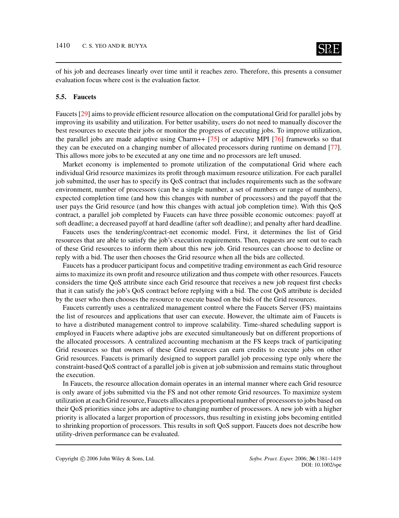

of his job and decreases linearly over time until it reaches zero. Therefore, this presents a consumer evaluation focus where cost is the evaluation factor.

#### **5.5. Faucets**

Faucets [\[29](#page-35-26)] aims to provide efficient resource allocation on the computational Grid for parallel jobs by improving its usability and utilization. For better usability, users do not need to manually discover the best resources to execute their jobs or monitor the progress of executing jobs. To improve utilization, the parallel jobs are made adaptive using Charm $++$  [[75\]](#page-37-20) or adaptive MPI [\[76](#page-38-0)] frameworks so that they can be executed on a changing number of allocated processors during runtime on demand [\[77](#page-38-1)]. This allows more jobs to be executed at any one time and no processors are left unused.

Market economy is implemented to promote utilization of the computational Grid where each individual Grid resource maximizes its profit through maximum resource utilization. For each parallel job submitted, the user has to specify its QoS contract that includes requirements such as the software environment, number of processors (can be a single number, a set of numbers or range of numbers), expected completion time (and how this changes with number of processors) and the payoff that the user pays the Grid resource (and how this changes with actual job completion time). With this QoS contract, a parallel job completed by Faucets can have three possible economic outcomes: payoff at soft deadline; a decreased payoff at hard deadline (after soft deadline); and penalty after hard deadline.

Faucets uses the tendering/contract-net economic model. First, it determines the list of Grid resources that are able to satisfy the job's execution requirements. Then, requests are sent out to each of these Grid resources to inform them about this new job. Grid resources can choose to decline or reply with a bid. The user then chooses the Grid resource when all the bids are collected.

Faucets has a producer participant focus and competitive trading environment as each Grid resource aims to maximize its own profit and resource utilization and thus compete with other resources. Faucets considers the time QoS attribute since each Grid resource that receives a new job request first checks that it can satisfy the job's QoS contract before replying with a bid. The cost QoS attribute is decided by the user who then chooses the resource to execute based on the bids of the Grid resources.

Faucets currently uses a centralized management control where the Faucets Server (FS) maintains the list of resources and applications that user can execute. However, the ultimate aim of Faucets is to have a distributed management control to improve scalability. Time-shared scheduling support is employed in Faucets where adaptive jobs are executed simultaneously but on different proportions of the allocated processors. A centralized accounting mechanism at the FS keeps track of participating Grid resources so that owners of these Grid resources can earn credits to execute jobs on other Grid resources. Faucets is primarily designed to support parallel job processing type only where the constraint-based QoS contract of a parallel job is given at job submission and remains static throughout the execution.

In Faucets, the resource allocation domain operates in an internal manner where each Grid resource is only aware of jobs submitted via the FS and not other remote Grid resources. To maximize system utilization at each Grid resource, Faucets allocates a proportional number of processors to jobs based on their QoS priorities since jobs are adaptive to changing number of processors. A new job with a higher priority is allocated a larger proportion of processors, thus resulting in existing jobs becoming entitled to shrinking proportion of processors. This results in soft QoS support. Faucets does not describe how utility-driven performance can be evaluated.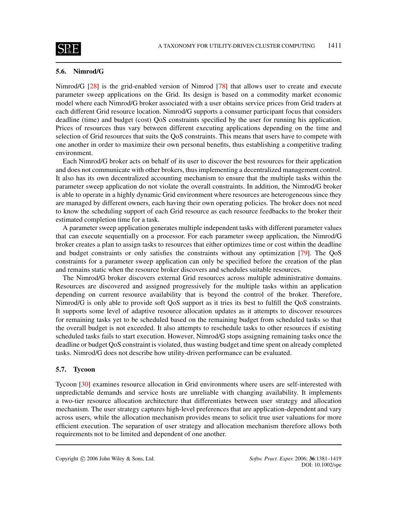## **5.6. Nimrod/G**

Nimrod/G [[28\]](#page-35-13) is the grid-enabled version of Nimrod [[78\]](#page-38-2) that allows user to create and execute parameter sweep applications on the Grid. Its design is based on a commodity market economic model where each Nimrod/G broker associated with a user obtains service prices from Grid traders at each different Grid resource location. Nimrod/G supports a consumer participant focus that considers deadline (time) and budget (cost) QoS constraints specified by the user for running his application. Prices of resources thus vary between different executing applications depending on the time and selection of Grid resources that suits the QoS constraints. This means that users have to compete with one another in order to maximize their own personal benefits, thus establishing a competitive trading environment.

Each Nimrod/G broker acts on behalf of its user to discover the best resources for their application and does not communicate with other brokers, thus implementing a decentralized management control. It also has its own decentralized accounting mechanism to ensure that the multiple tasks within the parameter sweep application do not violate the overall constraints. In addition, the Nimrod/G broker is able to operate in a highly dynamic Grid environment where resources are heterogeneous since they are managed by different owners, each having their own operating policies. The broker does not need to know the scheduling support of each Grid resource as each resource feedbacks to the broker their estimated completion time for a task.

A parameter sweep application generates multiple independent tasks with different parameter values that can execute sequentially on a processor. For each parameter sweep application, the Nimrod/G broker creates a plan to assign tasks to resources that either optimizes time or cost within the deadline and budget constraints or only satisfies the constraints without any optimization [\[79](#page-38-3)]. The QoS constraints for a parameter sweep application can only be specified before the creation of the plan and remains static when the resource broker discovers and schedules suitable resources.

The Nimrod/G broker discovers external Grid resources across multiple administrative domains. Resources are discovered and assigned progressively for the multiple tasks within an application depending on current resource availability that is beyond the control of the broker. Therefore, Nimrod/G is only able to provide soft QoS support as it tries its best to fulfill the QoS constraints. It supports some level of adaptive resource allocation updates as it attempts to discover resources for remaining tasks yet to be scheduled based on the remaining budget from scheduled tasks so that the overall budget is not exceeded. It also attempts to reschedule tasks to other resources if existing scheduled tasks fails to start execution. However, Nimrod/G stops assigning remaining tasks once the deadline or budget QoS constraint is violated, thus wasting budget and time spent on already completed tasks. Nimrod/G does not describe how utility-driven performance can be evaluated.

## **5.7. Tycoon**

Tycoon [\[30\]](#page-36-13) examines resource allocation in Grid environments where users are self-interested with unpredictable demands and service hosts are unreliable with changing availability. It implements a two-tier resource allocation architecture that differentiates between user strategy and allocation mechanism. The user strategy captures high-level preferences that are application-dependent and vary across users, while the allocation mechanism provides means to solicit true user valuations for more efficient execution. The separation of user strategy and allocation mechanism therefore allows both requirements not to be limited and dependent of one another.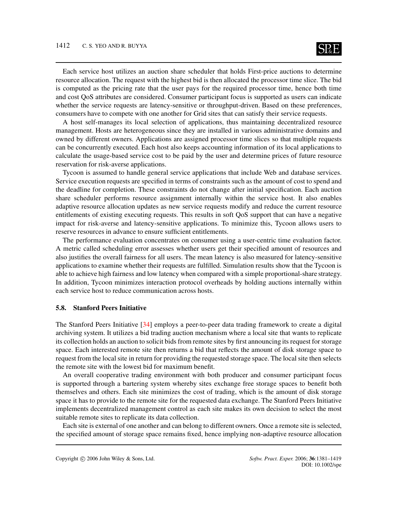#### 1412 C. S. YEO AND R. BUYYA

Each service host utilizes an auction share scheduler that holds First-price auctions to determine resource allocation. The request with the highest bid is then allocated the processor time slice. The bid is computed as the pricing rate that the user pays for the required processor time, hence both time and cost QoS attributes are considered. Consumer participant focus is supported as users can indicate whether the service requests are latency-sensitive or throughput-driven. Based on these preferences, consumers have to compete with one another for Grid sites that can satisfy their service requests.

A host self-manages its local selection of applications, thus maintaining decentralized resource management. Hosts are heterogeneous since they are installed in various administrative domains and owned by different owners. Applications are assigned processor time slices so that multiple requests can be concurrently executed. Each host also keeps accounting information of its local applications to calculate the usage-based service cost to be paid by the user and determine prices of future resource reservation for risk-averse applications.

Tycoon is assumed to handle general service applications that include Web and database services. Service execution requests are specified in terms of constraints such as the amount of cost to spend and the deadline for completion. These constraints do not change after initial specification. Each auction share scheduler performs resource assignment internally within the service host. It also enables adaptive resource allocation updates as new service requests modify and reduce the current resource entitlements of existing executing requests. This results in soft QoS support that can have a negative impact for risk-averse and latency-sensitive applications. To minimize this, Tycoon allows users to reserve resources in advance to ensure sufficient entitlements.

The performance evaluation concentrates on consumer using a user-centric time evaluation factor. A metric called scheduling error assesses whether users get their specified amount of resources and also justifies the overall fairness for all users. The mean latency is also measured for latency-sensitive applications to examine whether their requests are fulfilled. Simulation results show that the Tycoon is able to achieve high fairness and low latency when compared with a simple proportional-share strategy. In addition, Tycoon minimizes interaction protocol overheads by holding auctions internally within each service host to reduce communication across hosts.

## **5.8. Stanford Peers Initiative**

The Stanford Peers Initiative [\[34\]](#page-36-1) employs a peer-to-peer data trading framework to create a digital archiving system. It utilizes a bid trading auction mechanism where a local site that wants to replicate its collection holds an auction to solicit bids from remote sites by first announcing its request for storage space. Each interested remote site then returns a bid that reflects the amount of disk storage space to request from the local site in return for providing the requested storage space. The local site then selects the remote site with the lowest bid for maximum benefit.

An overall cooperative trading environment with both producer and consumer participant focus is supported through a bartering system whereby sites exchange free storage spaces to benefit both themselves and others. Each site minimizes the cost of trading, which is the amount of disk storage space it has to provide to the remote site for the requested data exchange. The Stanford Peers Initiative implements decentralized management control as each site makes its own decision to select the most suitable remote sites to replicate its data collection.

Each site is external of one another and can belong to different owners. Once a remote site is selected, the specified amount of storage space remains fixed, hence implying non-adaptive resource allocation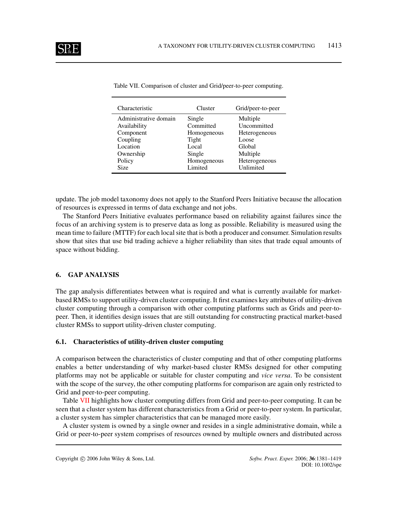| Characteristic        | Cluster     | Grid/peer-to-peer |
|-----------------------|-------------|-------------------|
| Administrative domain | Single      | Multiple          |
| Availability          | Committed   | Uncommitted       |
| Component             | Homogeneous | Heterogeneous     |
| Coupling              | Tight       | Loose             |
| Location              | Local       | Global            |
| Ownership             | Single      | Multiple          |
| Policy                | Homogeneous | Heterogeneous     |
| Size                  | Limited     | Unlimited         |

<span id="page-32-0"></span>Table VII. Comparison of cluster and Grid/peer-to-peer computing.

update. The job model taxonomy does not apply to the Stanford Peers Initiative because the allocation of resources is expressed in terms of data exchange and not jobs.

The Stanford Peers Initiative evaluates performance based on reliability against failures since the focus of an archiving system is to preserve data as long as possible. Reliability is measured using the mean time to failure (MTTF) for each local site that is both a producer and consumer. Simulation results show that sites that use bid trading achieve a higher reliability than sites that trade equal amounts of space without bidding.

## **6. GAP ANALYSIS**

The gap analysis differentiates between what is required and what is currently available for marketbased RMSs to support utility-driven cluster computing. It first examines key attributes of utility-driven cluster computing through a comparison with other computing platforms such as Grids and peer-topeer. Then, it identifies design issues that are still outstanding for constructing practical market-based cluster RMSs to support utility-driven cluster computing.

## **6.1. Characteristics of utility-driven cluster computing**

A comparison between the characteristics of cluster computing and that of other computing platforms enables a better understanding of why market-based cluster RMSs designed for other computing platforms may not be applicable or suitable for cluster computing and *vice versa*. To be consistent with the scope of the survey, the other computing platforms for comparison are again only restricted to Grid and peer-to-peer computing.

Table [VII](#page-32-0) highlights how cluster computing differs from Grid and peer-to-peer computing. It can be seen that a cluster system has different characteristics from a Grid or peer-to-peer system. In particular, a cluster system has simpler characteristics that can be managed more easily.

A cluster system is owned by a single owner and resides in a single administrative domain, while a Grid or peer-to-peer system comprises of resources owned by multiple owners and distributed across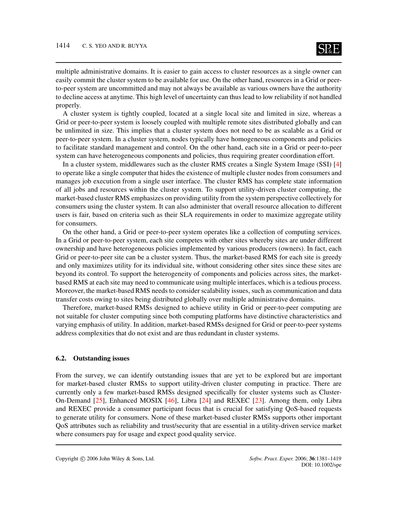multiple administrative domains. It is easier to gain access to cluster resources as a single owner can easily commit the cluster system to be available for use. On the other hand, resources in a Grid or peerto-peer system are uncommitted and may not always be available as various owners have the authority to decline access at anytime. This high level of uncertainty can thus lead to low reliability if not handled properly.

A cluster system is tightly coupled, located at a single local site and limited in size, whereas a Grid or peer-to-peer system is loosely coupled with multiple remote sites distributed globally and can be unlimited in size. This implies that a cluster system does not need to be as scalable as a Grid or peer-to-peer system. In a cluster system, nodes typically have homogeneous components and policies to facilitate standard management and control. On the other hand, each site in a Grid or peer-to-peer system can have heterogeneous components and policies, thus requiring greater coordination effort.

In a cluster system, middlewares such as the cluster RMS creates a Single System Image (SSI) [\[4\]](#page-35-10) to operate like a single computer that hides the existence of multiple cluster nodes from consumers and manages job execution from a single user interface. The cluster RMS has complete state information of all jobs and resources within the cluster system. To support utility-driven cluster computing, the market-based cluster RMS emphasizes on providing utility from the system perspective collectively for consumers using the cluster system. It can also administer that overall resource allocation to different users is fair, based on criteria such as their SLA requirements in order to maximize aggregate utility for consumers.

On the other hand, a Grid or peer-to-peer system operates like a collection of computing services. In a Grid or peer-to-peer system, each site competes with other sites whereby sites are under different ownership and have heterogeneous policies implemented by various producers (owners). In fact, each Grid or peer-to-peer site can be a cluster system. Thus, the market-based RMS for each site is greedy and only maximizes utility for its individual site, without considering other sites since these sites are beyond its control. To support the heterogeneity of components and policies across sites, the marketbased RMS at each site may need to communicate using multiple interfaces, which is a tedious process. Moreover, the market-based RMS needs to consider scalability issues, such as communication and data transfer costs owing to sites being distributed globally over multiple administrative domains.

Therefore, market-based RMSs designed to achieve utility in Grid or peer-to-peer computing are not suitable for cluster computing since both computing platforms have distinctive characteristics and varying emphasis of utility. In addition, market-based RMSs designed for Grid or peer-to-peer systems address complexities that do not exist and are thus redundant in cluster systems.

#### **6.2. Outstanding issues**

From the survey, we can identify outstanding issues that are yet to be explored but are important for market-based cluster RMSs to support utility-driven cluster computing in practice. There are currently only a few market-based RMSs designed specifically for cluster systems such as Cluster-On-Demand [[25\]](#page-35-24), Enhanced MOSIX [\[46](#page-36-11)], Libra [[24\]](#page-35-25) and REXEC [[23\]](#page-35-16). Among them, only Libra and REXEC provide a consumer participant focus that is crucial for satisfying QoS-based requests to generate utility for consumers. None of these market-based cluster RMSs supports other important QoS attributes such as reliability and trust/security that are essential in a utility-driven service market where consumers pay for usage and expect good quality service.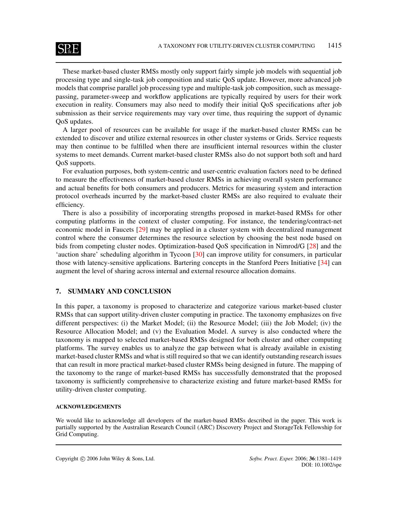

These market-based cluster RMSs mostly only support fairly simple job models with sequential job processing type and single-task job composition and static QoS update. However, more advanced job models that comprise parallel job processing type and multiple-task job composition, such as messagepassing, parameter-sweep and workflow applications are typically required by users for their work execution in reality. Consumers may also need to modify their initial QoS specifications after job submission as their service requirements may vary over time, thus requiring the support of dynamic QoS updates.

A larger pool of resources can be available for usage if the market-based cluster RMSs can be extended to discover and utilize external resources in other cluster systems or Grids. Service requests may then continue to be fulfilled when there are insufficient internal resources within the cluster systems to meet demands. Current market-based cluster RMSs also do not support both soft and hard QoS supports.

For evaluation purposes, both system-centric and user-centric evaluation factors need to be defined to measure the effectiveness of market-based cluster RMSs in achieving overall system performance and actual benefits for both consumers and producers. Metrics for measuring system and interaction protocol overheads incurred by the market-based cluster RMSs are also required to evaluate their efficiency.

There is also a possibility of incorporating strengths proposed in market-based RMSs for other computing platforms in the context of cluster computing. For instance, the tendering/contract-net economic model in Faucets [[29\]](#page-35-26) may be applied in a cluster system with decentralized management control where the consumer determines the resource selection by choosing the best node based on bids from competing cluster nodes. Optimization-based QoS specification in Nimrod/G [[28\]](#page-35-13) and the 'auction share' scheduling algorithm in Tycoon [[30\]](#page-36-13) can improve utility for consumers, in particular those with latency-sensitive applications. Bartering concepts in the Stanford Peers Initiative [[34\]](#page-36-1) can augment the level of sharing across internal and external resource allocation domains.

## **7. SUMMARY AND CONCLUSION**

In this paper, a taxonomy is proposed to characterize and categorize various market-based cluster RMSs that can support utility-driven cluster computing in practice. The taxonomy emphasizes on five different perspectives: (i) the Market Model; (ii) the Resource Model; (iii) the Job Model; (iv) the Resource Allocation Model; and (v) the Evaluation Model. A survey is also conducted where the taxonomy is mapped to selected market-based RMSs designed for both cluster and other computing platforms. The survey enables us to analyze the gap between what is already available in existing market-based cluster RMSs and what is still required so that we can identify outstanding research issues that can result in more practical market-based cluster RMSs being designed in future. The mapping of the taxonomy to the range of market-based RMSs has successfully demonstrated that the proposed taxonomy is sufficiently comprehensive to characterize existing and future market-based RMSs for utility-driven cluster computing.

## **ACKNOWLEDGEMENTS**

We would like to acknowledge all developers of the market-based RMSs described in the paper. This work is partially supported by the Australian Research Council (ARC) Discovery Project and StorageTek Fellowship for Grid Computing.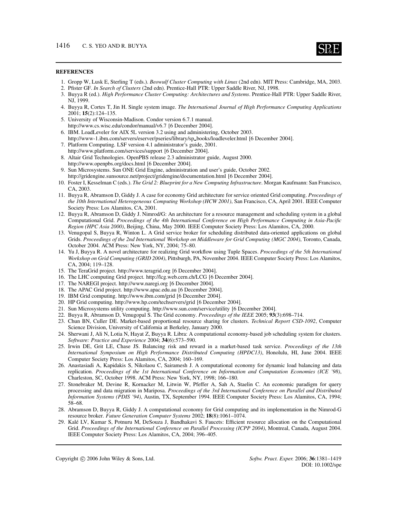

#### **REFERENCES**

- <span id="page-35-0"></span>1. Gropp W, Lusk E, Sterling T (eds.). *Beowulf Cluster Computing with Linux* (2nd edn). MIT Press: Cambridge, MA, 2003.
- 2. Pfister GF. *In Search of Clusters* (2nd edn). Prentice-Hall PTR: Upper Saddle River, NJ, 1998.
- 3. Buyya R (ed.). *High Performance Cluster Computing: Architectures and Systems*. Prentice-Hall PTR: Upper Saddle River, NJ, 1999.
- <span id="page-35-10"></span>4. Buyya R, Cortes T, Jin H. Single system image. *The International Journal of High Performance Computing Applications* 2001; **15**(2):124–135.
- <span id="page-35-1"></span>5. University of Wisconsin-Madison. Condor version 6.7.1 manual. http://www.cs.wisc.edu/condor/manual/v6.7 [6 December 2004].
- <span id="page-35-9"></span>6. IBM. LoadLeveler for AIX 5L version 3.2 using and administering, October 2003. http://www-1.ibm.com/servers/eserver/pseries/library/sp books/loadleveler.html [6 December 2004].
- <span id="page-35-6"></span>7. Platform Computing. LSF version 4.1 administrator's guide, 2001. http://www.platform.com/services/support [6 December 2004].
- <span id="page-35-11"></span>8. Altair Grid Technologies. OpenPBS release 2.3 administrator guide, August 2000. http://www.openpbs.org/docs.html [6 December 2004].
- <span id="page-35-8"></span>9. Sun Microsystems. Sun ONE Grid Engine, administration and user's guide, October 2002. http://gridengine.sunsource.net/project/gridengine/documentation.html [6 December 2004].
- <span id="page-35-3"></span>10. Foster I, Kesselman C (eds.). *The Grid 2: Blueprint for a New Computing Infrastructure*. Morgan Kaufmann: San Francisco, CA, 2003.
- <span id="page-35-7"></span>11. Buyya R, Abramson D, Giddy J. A case for economy Grid architecture for service oriented Grid computing. *Proceedings of the 10th International Heterogeneous Computing Workshop (HCW 2001)*, San Francisco, CA, April 2001. IEEE Computer Society Press: Los Alamitos, CA, 2001.
- <span id="page-35-4"></span>12. Buyya R, Abramson D, Giddy J. Nimrod/G: An architecture for a resource management and scheduling system in a global Computational Grid. *Proceedings of the 4th International Conference on High Performance Computing in Asia-Pacific Region (HPC Asia 2000)*, Beijing, China, May 2000. IEEE Computer Society Press: Los Alamitos, CA, 2000.
- <span id="page-35-2"></span>13. Venugopal S, Buyya R, Winton L. A Grid service broker for scheduling distributed data-oriented applications on global Grids. *Proceedings of the 2nd International Workshop on Middleware for Grid Computing (MGC 2004)*, Toronto, Canada, October 2004. ACM Press: New York, NY, 2004; 75–80.
- <span id="page-35-5"></span>14. Yu J, Buyya R. A novel architecture for realizing Grid workflow using Tuple Spaces. *Proceedings of the 5th International Workshop on Grid Computing (GRID 2004)*, Pittsburgh, PA, November 2004. IEEE Computer Society Press: Los Alamitos, CA, 2004; 119–128.
- <span id="page-35-22"></span>15. The TeraGrid project. http://www.teragrid.org [6 December 2004].
- <span id="page-35-15"></span>16. The LHC computing Grid project. http://lcg.web.cern.ch/LCG [6 December 2004].
- <span id="page-35-23"></span>17. The NAREGI project. http://www.naregi.org [6 December 2004].
- <span id="page-35-20"></span>18. The APAC Grid project. http://www.apac.edu.au [6 December 2004].
- <span id="page-35-21"></span><span id="page-35-12"></span>19. IBM Grid computing. http://www.ibm.com/grid [6 December 2004].
- <span id="page-35-14"></span>20. HP Grid computing. http://www.hp.com/techservers/grid [6 December 2004].
- 21. Sun Microsystems utility computing. http://www.sun.com/service/utility [6 December 2004].
- <span id="page-35-17"></span>22. Buyya R, Abramson D, Venugopal S. The Grid economy. *Proceedings of the IEEE* 2005; **93**(3):698–714.
- <span id="page-35-16"></span>23. Chun BN, Culler DE. Market-based proportional resource sharing for clusters. *Technical Report CSD-1092*, Computer Science Division, University of California at Berkeley, January 2000.
- <span id="page-35-25"></span>24. Sherwani J, Ali N, Lotia N, Hayat Z, Buyya R. Libra: A computational economy-based job scheduling system for clusters. *Software: Practice and Experience* 2004; **34**(6):573–590.
- <span id="page-35-24"></span>25. Irwin DE, Grit LE, Chase JS. Balancing risk and reward in a market-based task service. *Proceedings of the 13th International Symposium on High Performance Distributed Computing (HPDC13)*, Honolulu, HI, June 2004. IEEE Computer Society Press: Los Alamitos, CA, 2004; 160–169.
- <span id="page-35-18"></span>26. Anastasiadi A, Kapidakis S, Nikolaou C, Sairamesh J. A computational economy for dynamic load balancing and data replication. *Proceedings of the 1st International Conference on Information and Computation Economies (ICE '98)*, Charleston, SC, October 1998. ACM Press: New York, NY, 1998; 166–180.
- <span id="page-35-19"></span>27. Stonebraker M, Devine R, Kornacker M, Litwin W, Pfeffer A, Sah A, Staelin C. An economic paradigm for query processing and data migration in Mariposa. *Proceedings of the 3rd International Conference on Parallel and Distributed Information Systems (PDIS '94)*, Austin, TX, September 1994. IEEE Computer Society Press: Los Alamitos, CA, 1994; 58–68.
- <span id="page-35-13"></span>28. Abramson D, Buyya R, Giddy J. A computational economy for Grid computing and its implementation in the Nimrod-G resource broker. *Future Generation Computer Systems* 2002; **18**(8):1061–1074.
- <span id="page-35-26"></span>29. Kal´e LV, Kumar S, Potnuru M, DeSouza J, Bandhakavi S. Faucets: Efficient resource allocation on the Computational Grid. *Proceedings of the International Conference on Parallel Processing (ICPP 2004)*, Montreal, Canada, August 2004. IEEE Computer Society Press: Los Alamitos, CA, 2004; 396–405.

Copyright  $\odot$  2006 John Wiley & Sons, Ltd.

c 2006 John Wiley & Sons, Ltd. *Softw. Pract. Exper.* 2006; **36**:1381–1419 DOI: 10.1002/spe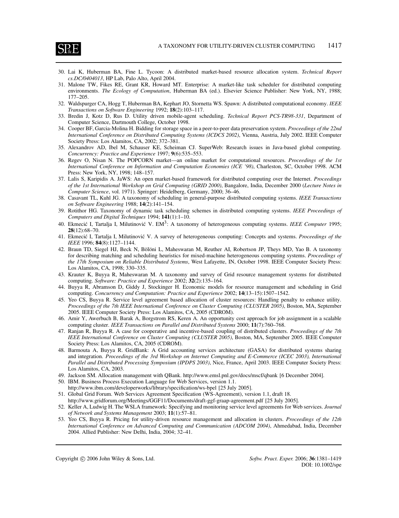

- <span id="page-36-13"></span>30. Lai K, Huberman BA, Fine L. Tycoon: A distributed market-based resource allocation system. *Technical Report cs.DC/0404013*, HP Lab, Palo Alto, April 2004.
- <span id="page-36-2"></span>31. Malone TW, Fikes RE, Grant KR, Howard MT. Enterprise: A market-like task scheduler for distributed computing environments. *The Ecology of Computation*, Huberman BA (ed.). Elsevier Science Publisher: New York, NY, 1988; 177–205.
- <span id="page-36-22"></span>32. Waldspurger CA, Hogg T, Huberman BA, Kephart JO, Stornetta WS. Spawn: A distributed computational economy. *IEEE Transactions on Software Engineering* 1992; **18**(2):103–117.
- <span id="page-36-21"></span>33. Bredin J, Kotz D, Rus D. Utility driven mobile-agent scheduling. *Technical Report PCS-TR98-331*, Department of Computer Science, Dartmouth College, October 1998.
- <span id="page-36-1"></span>34. Cooper BF, Garcia-Molina H. Bidding for storage space in a peer-to-peer data preservation system. *Proceedings of the 22nd International Conference on Distributed Computing Systems (ICDCS 2002)*, Vienna, Austria, July 2002. IEEE Computer Society Press: Los Alamitos, CA, 2002; 372–381.
- <span id="page-36-0"></span>35. Alexandrov AD, Ibel M, Schauser KE, Scheiman CJ. SuperWeb: Research issues in Java-based global computing. *Concurrency: Practice and Experience* 1997; **9**(6):535–553.
- <span id="page-36-23"></span>36. Regev O, Nisan N. The POPCORN market—an online market for computational resources. *Proceedings of the 1st International Conference on Information and Computation Economies (ICE '98)*, Charleston, SC, October 1998. ACM Press: New York, NY, 1998; 148–157.
- <span id="page-36-24"></span>37. Lalis S, Karipidis A. JaWS: An open market-based framework for distributed computing over the Internet. *Proceedings of the 1st International Workshop on Grid Computing (GRID 2000)*, Bangalore, India, December 2000 (*Lecture Notes in Computer Science*, vol. 1971). Springer: Heidelberg, Germany, 2000; 36–46.
- <span id="page-36-7"></span>38. Casavant TL, Kuhl JG. A taxonomy of scheduling in general-purpose distributed computing systems. *IEEE Transactions on Software Engineering* 1988; **14**(2):141–154.
- <span id="page-36-4"></span>39. Rotithor HG. Taxonomy of dynamic task scheduling schemes in distributed computing systems. *IEEE Proceedings of Computers and Digital Techniques* 1994; **141**(1):1–10.
- <span id="page-36-3"></span>40. Ekmecić I, Tartalja I, Milutinović V. EM<sup>3</sup>: A taxonomy of heterogeneous computing systems. *IEEE Computer* 1995; **28**(12):68–70.
- <span id="page-36-5"></span>41. Ekmecić I, Tartalja I, Milutinović V. A survey of heterogeneous computing: Concepts and systems. *Proceedings of the IEEE* 1996; **84**(8):1127–1144.
- <span id="page-36-8"></span>42. Braun TD, Siegel HJ, Beck N, Bölöni L, Maheswaran M, Reuther AI, Robertson JP, Theys MD, Yao B. A taxonomy for describing matching and scheduling heuristics for mixed-machine heterogeneous computing systems. *Proceedings of the 17th Symposium on Reliable Distributed Systems*, West Lafayette, IN, October 1998. IEEE Computer Society Press: Los Alamitos, CA, 1998; 330–335.
- <span id="page-36-6"></span>43. Krauter K, Buyya R, Maheswaran M. A taxonomy and survey of Grid resource management systems for distributed computing. *Software: Practice and Experience* 2002; **32**(2):135–164.
- <span id="page-36-9"></span>44. Buyya R, Abramson D, Giddy J, Stockinger H. Economic models for resource management and scheduling in Grid computing. *Concurrency and Computation: Practice and Experience* 2002; **14**(13–15):1507–1542.
- <span id="page-36-10"></span>45. Yeo CS, Buyya R. Service level agreement based allocation of cluster resources: Handling penalty to enhance utility. *Proceedings of the 7th IEEE International Conference on Cluster Computing (CLUSTER 2005)*, Boston, MA, September 2005. IEEE Computer Society Press: Los Alamitos, CA, 2005 (CDROM).
- <span id="page-36-11"></span>46. Amir Y, Awerbuch B, Barak A, Borgstrom RS, Keren A. An opportunity cost approach for job assignment in a scalable computing cluster. *IEEE Transactions on Parallel and Distributed Systems* 2000; **11**(7):760–768.
- <span id="page-36-12"></span>47. Ranjan R, Buyya R. A case for cooperative and incentive-based coupling of distributed clusters. *Proceedings of the 7th IEEE International Conference on Cluster Computing (CLUSTER 2005)*, Boston, MA, September 2005. IEEE Computer Society Press: Los Alamitos, CA, 2005 (CDROM).
- <span id="page-36-14"></span>48. Barmouta A, Buyya R. GridBank: A Grid accounting services architecture (GASA) for distributed systems sharing and integration. *Proceedings of the 3rd Workshop on Internet Computing and E-Commerce (ICEC 2003), International Parallel and Distributed Processing Symposium (IPDPS 2003)*, Nice, France, April 2003. IEEE Computer Society Press: Los Alamitos, CA, 2003.
- <span id="page-36-15"></span>49. Jackson SM. Allocation management with QBank. http://www.emsl.pnl.gov/docs/mscf/qbank [6 December 2004].
- 50. IBM. Business Process Execution Language for Web Services, version 1.1.
- <span id="page-36-17"></span><span id="page-36-16"></span>http://www.ibm.com/developerworks/library/specification/ws-bpel [25 July 2005].
- 51. Global Grid Forum. Web Services Agreement Specification (WS-Agreement), version 1.1, draft 18.
- <span id="page-36-18"></span>http://www.gridforum.org/Meetings/GGF11/Documents/draft-ggf-graap-agreement.pdf [25 July 2005].
- 52. Keller A, Ludwig H. The WSLA framework: Specifying and monitoring service level agreements for Web services. *Journal of Network and Systems Management* 2003; **11**(1):57–81.
- <span id="page-36-20"></span><span id="page-36-19"></span>53. Yeo CS, Buyya R. Pricing for utility-driven resource management and allocation in clusters. *Proceedings of the 12th International Conference on Advanced Computing and Communication (ADCOM 2004)*, Ahmedabad, India, December 2004. Allied Publisher: New Delhi, India, 2004; 32–41.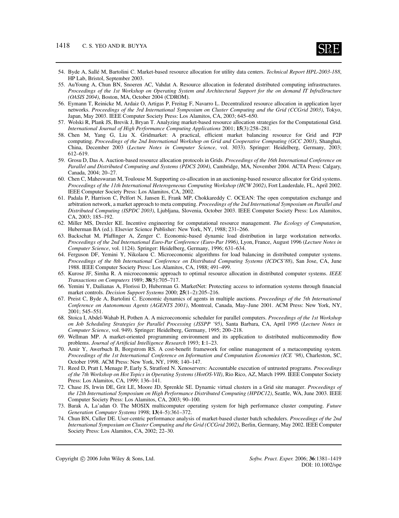- 54. Byde A, Sall´e M, Bartolini C. Market-based resource allocation for utility data centers. *Technical Report HPL-2003-188*, HP Lab, Bristol, September 2003.
- <span id="page-37-1"></span>55. AuYoung A, Chun BN, Snoeren AC, Vahdat A. Resource allocation in federated distributed computing infrastructures. *Proceedings of the 1st Workshop on Operating System and Architectural Support for the on demand IT InfraStructure (OASIS 2004)*, Boston, MA, October 2004 (CDROM).
- <span id="page-37-0"></span>56. Eymann T, Reinicke M, Ardaiz O, Artigas P, Freitag F, Navarro L. Decentralized resource allocation in application layer networks. *Proceedings of the 3rd International Symposium on Cluster Computing and the Grid (CCGrid 2003)*, Tokyo, Japan, May 2003. IEEE Computer Society Press: Los Alamitos, CA, 2003; 645–650.
- <span id="page-37-4"></span>57. Wolski R, Plank JS, Brevik J, Bryan T. Analyzing market-based resource allocation strategies for the Computational Grid. *International Journal of High Performance Computing Applications* 2001; **15**(3):258–281.
- <span id="page-37-5"></span>58. Chen M, Yang G, Liu X. Gridmarket: A practical, efficient market balancing resource for Grid and P2P computing. *Proceedings of the 2nd International Workshop on Grid and Cooperative Computing (GCC 2003)*, Shanghai, China, December 2003 (*Lecture Notes in Computer Science*, vol. 3033). Springer: Heidelberg, Germany, 2003; 612–619.
- <span id="page-37-6"></span>59. Grosu D, Das A. Auction-based resource allocation protocols in Grids. *Proceedings of the 16th International Conference on Parallel and Distributed Computing and Systems (PDCS 2004)*, Cambridge, MA, November 2004. ACTA Press: Calgary, Canada, 2004; 20–27.
- <span id="page-37-2"></span>60. Chen C, Maheswaran M, Toulouse M. Supporting co-allocation in an auctioning-based resource allocator for Grid systems. *Proceedings of the 11th International Heterogeneous Computing Workshop (HCW 2002)*, Fort Lauderdale, FL, April 2002. IEEE Computer Society Press: Los Alamitos, CA, 2002.
- <span id="page-37-7"></span>61. Padala P, Harrison C, Pelfort N, Jansen E, Frank MP, Chokkareddy C. OCEAN: The open computation exchange and arbitration network, a market approach to meta computing. *Proceedings of the 2nd International Symposium on Parallel and Distributed Computing (ISPDC 2003)*, Ljubljana, Slovenia, October 2003. IEEE Computer Society Press: Los Alamitos, CA, 2003; 185–192.
- <span id="page-37-3"></span>62. Miller MS, Drexler KE. Incentive engineering for computational resource management. *The Ecology of Computation*, Huberman BA (ed.). Elsevier Science Publisher: New York, NY, 1988; 231–266.
- <span id="page-37-13"></span>63. Backschat M, Pfaffinger A, Zenger C. Economic-based dynamic load distribution in large workstation networks. *Proceedings of the 2nd International Euro-Par Conference (Euro-Par 1996)*, Lyon, France, August 1996 (*Lecture Notes in Computer Science*, vol. 1124). Springer: Heidelberg, Germany, 1996; 631–634.
- <span id="page-37-8"></span>64. Ferguson DF, Yemini Y, Nikolaou C. Microeconomic algorithms for load balancing in distributed computer systems. *Proceedings of the 8th International Conference on Distributed Computing Systems (ICDCS'88)*, San Jose, CA, June 1988. IEEE Computer Society Press: Los Alamitos, CA, 1988; 491–499.
- <span id="page-37-10"></span>65. Kurose JF, Simha R. A microeconomic approach to optimal resource allocation in distributed computer systems. *IEEE Transactions on Computers* 1989; **38**(5):705–717.
- <span id="page-37-12"></span>66. Yemini Y, Dailianas A, Florissi D, Huberman G. MarketNet: Protecting access to information systems through financial market controls. *Decision Support Systems* 2000; **25**(1–2):205–216.
- <span id="page-37-9"></span>67. Preist C, Byde A, Bartolini C. Economic dynamics of agents in multiple auctions. *Proceedings of the 5th International Conference on Autonomous Agents (AGENTS 2001)*, Montreal, Canada, May–June 2001. ACM Press: New York, NY, 2001; 545–551.
- <span id="page-37-11"></span>68. Stoica I, Abdel-Wahab H, Pothen A. A microeconomic scheduler for parallel computers. *Proceedings of the 1st Workshop on Job Scheduling Strategies for Parallel Processing (JSSPP '95)*, Santa Barbara, CA, April 1995 (*Lecture Notes in Computer Science*, vol. 949). Springer: Heidelberg, Germany, 1995; 200–218.
- <span id="page-37-14"></span>69. Wellman MP. A market-oriented programming environment and its application to distributed multicommodity flow problems. *Journal of Artificial Intelligence Research* 1993; **1**:1–23.
- <span id="page-37-16"></span>70. Amir Y, Awerbuch B, Borgstrom RS. A cost-benefit framework for online management of a metacomputing system. *Proceedings of the 1st International Conference on Information and Computation Economies (ICE '98)*, Charleston, SC, October 1998. ACM Press: New York, NY, 1998; 140–147.
- <span id="page-37-15"></span>71. Reed D, Pratt I, Menage P, Early S, Stratford N. Xenoservers: Accountable execution of untrusted programs. *Proceedings of the 7th Workshop on Hot Topics in Operating Systems (HotOS-VII)*, Rio Rico, AZ, March 1999. IEEE Computer Society Press: Los Alamitos, CA, 1999; 136–141.
- <span id="page-37-17"></span>72. Chase JS, Irwin DE, Grit LE, Moore JD, Sprenkle SE. Dynamic virtual clusters in a Grid site manager. *Proceedings of the 12th International Symposium on High Performance Distributed Computing (HPDC12)*, Seattle, WA, June 2003. IEEE Computer Society Press: Los Alamitos, CA, 2003; 90–100.
- <span id="page-37-18"></span>73. Barak A, La'adan O. The MOSIX multicomputer operating system for high performance cluster computing. *Future Generation Computer Systems* 1998; **13**(4–5):361–372.
- <span id="page-37-20"></span><span id="page-37-19"></span>74. Chun BN, Culler DE. User-centric performance analysis of market-based cluster batch schedulers. *Proceedings of the 2nd International Symposium on Cluster Computing and the Grid (CCGrid 2002)*, Berlin, Germany, May 2002. IEEE Computer Society Press: Los Alamitos, CA, 2002; 22–30.

Copyright  $\odot$  2006 John Wiley & Sons, Ltd.